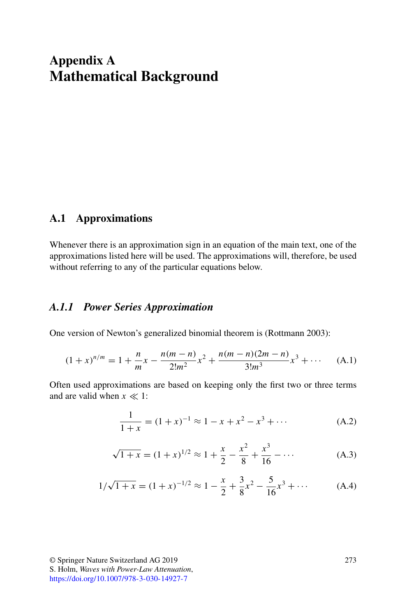# <span id="page-0-0"></span>**Appendix A Mathematical Background**

# **A.1 Approximations**

Whenever there is an approximation sign in an equation of the main text, one of the approximations listed here will be used. The approximations will, therefore, be used without referring to any of the particular equations below.

# *A.1.1 Power Series Approximation*

One version of Newton's generalized binomial theorem is (Rottmann 2003):

$$
(1+x)^{n/m} = 1 + \frac{n}{m}x - \frac{n(m-n)}{2!m^2}x^2 + \frac{n(m-n)(2m-n)}{3!m^3}x^3 + \cdots
$$
 (A.1)

Often used approximations are based on keeping only the first two or three terms and are valid when  $x \ll 1$ :

$$
\frac{1}{1+x} = (1+x)^{-1} \approx 1 - x + x^2 - x^3 + \dots
$$
 (A.2)

$$
\sqrt{1+x} = (1+x)^{1/2} \approx 1 + \frac{x}{2} - \frac{x^2}{8} + \frac{x^3}{16} - \dots
$$
 (A.3)

$$
1/\sqrt{1+x} = (1+x)^{-1/2} \approx 1 - \frac{x}{2} + \frac{3}{8}x^2 - \frac{5}{16}x^3 + \dots
$$
 (A.4)

© Springer Nature Switzerland AG 2019 S. Holm, *Waves with Power-Law Attenuation*, <https://doi.org/10.1007/978-3-030-14927-7>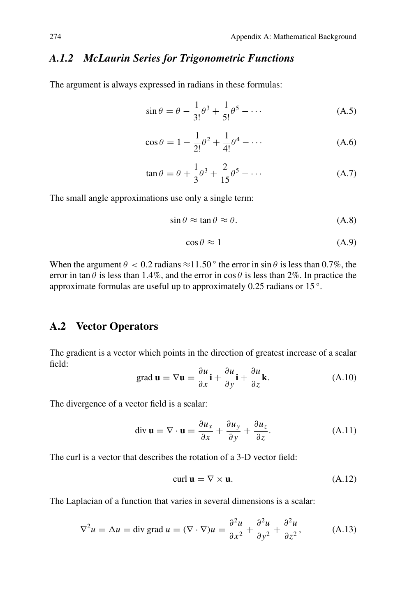# <span id="page-1-0"></span>*A.1.2 McLaurin Series for Trigonometric Functions*

The argument is always expressed in radians in these formulas:

$$
\sin \theta = \theta - \frac{1}{3!} \theta^3 + \frac{1}{5!} \theta^5 - \dotsb \tag{A.5}
$$

$$
\cos \theta = 1 - \frac{1}{2!} \theta^2 + \frac{1}{4!} \theta^4 - \dots
$$
 (A.6)

$$
\tan \theta = \theta + \frac{1}{3}\theta^3 + \frac{2}{15}\theta^5 - \dotsb \tag{A.7}
$$

The small angle approximations use only a single term:

$$
\sin \theta \approx \tan \theta \approx \theta. \tag{A.8}
$$

$$
\cos \theta \approx 1\tag{A.9}
$$

When the argument  $\theta < 0.2$  radians  $\approx 11.50$  ° the error in sin  $\theta$  is less than 0.7%, the error in tan  $\theta$  is less than 1.4%, and the error in cos  $\theta$  is less than 2%. In practice the approximate formulas are useful up to approximately 0.25 radians or 15 ◦.

# **A.2 Vector Operators**

The gradient is a vector which points in the direction of greatest increase of a scalar field:

grad 
$$
\mathbf{u} = \nabla \mathbf{u} = \frac{\partial u}{\partial x}\mathbf{i} + \frac{\partial u}{\partial y}\mathbf{i} + \frac{\partial u}{\partial z}\mathbf{k}
$$
. (A.10)

The divergence of a vector field is a scalar:

$$
\operatorname{div} \mathbf{u} = \nabla \cdot \mathbf{u} = \frac{\partial u_x}{\partial x} + \frac{\partial u_y}{\partial y} + \frac{\partial u_z}{\partial z}.
$$
 (A.11)

The curl is a vector that describes the rotation of a 3-D vector field:

$$
\operatorname{curl} \mathbf{u} = \nabla \times \mathbf{u}.\tag{A.12}
$$

The Laplacian of a function that varies in several dimensions is a scalar:

$$
\nabla^2 u = \Delta u = \text{div grad } u = (\nabla \cdot \nabla) u = \frac{\partial^2 u}{\partial x^2} + \frac{\partial^2 u}{\partial y^2} + \frac{\partial^2 u}{\partial z^2},
$$
 (A.13)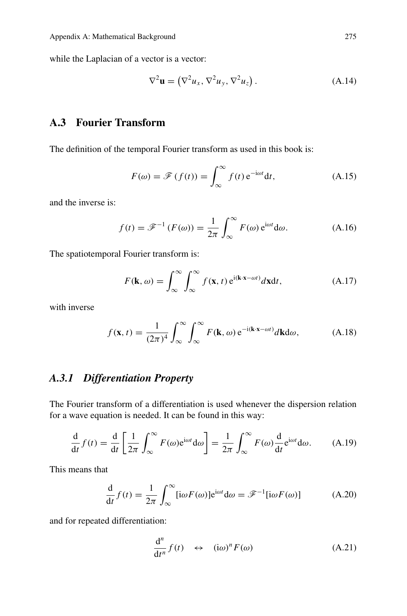while the Laplacian of a vector is a vector:

$$
\nabla^2 \mathbf{u} = (\nabla^2 u_x, \nabla^2 u_y, \nabla^2 u_z).
$$
 (A.14)

# **A.3 Fourier Transform**

The definition of the temporal Fourier transform as used in this book is:

$$
F(\omega) = \mathscr{F}(f(t)) = \int_{\infty}^{\infty} f(t) e^{-i\omega t} dt,
$$
\n(A.15)

and the inverse is:

$$
f(t) = \mathcal{F}^{-1}(F(\omega)) = \frac{1}{2\pi} \int_{-\infty}^{\infty} F(\omega) e^{i\omega t} d\omega.
$$
 (A.16)

The spatiotemporal Fourier transform is:

$$
F(\mathbf{k}, \omega) = \int_{\infty}^{\infty} \int_{\infty}^{\infty} f(\mathbf{x}, t) e^{i(\mathbf{k} \cdot \mathbf{x} - \omega t)} d\mathbf{x} dt,
$$
 (A.17)

with inverse

$$
f(\mathbf{x}, t) = \frac{1}{(2\pi)^4} \int_{\infty}^{\infty} \int_{\infty}^{\infty} F(\mathbf{k}, \omega) e^{-i(\mathbf{k} \cdot \mathbf{x} - \omega t)} d\mathbf{k} d\omega,
$$
 (A.18)

# *A.3.1 Differentiation Property*

The Fourier transform of a differentiation is used whenever the dispersion relation for a wave equation is needed. It can be found in this way:

$$
\frac{d}{dt}f(t) = \frac{d}{dt}\left[\frac{1}{2\pi}\int_{-\infty}^{\infty} F(\omega)e^{i\omega t}d\omega\right] = \frac{1}{2\pi}\int_{-\infty}^{\infty} F(\omega)\frac{d}{dt}e^{i\omega t}d\omega.
$$
 (A.19)

This means that

$$
\frac{d}{dt}f(t) = \frac{1}{2\pi} \int_{-\infty}^{\infty} [i\omega F(\omega)] e^{i\omega t} d\omega = \mathcal{F}^{-1} [i\omega F(\omega)]
$$
 (A.20)

and for repeated differentiation:

<span id="page-2-0"></span>
$$
\frac{d^n}{dt^n} f(t) \quad \leftrightarrow \quad (i\omega)^n F(\omega) \tag{A.21}
$$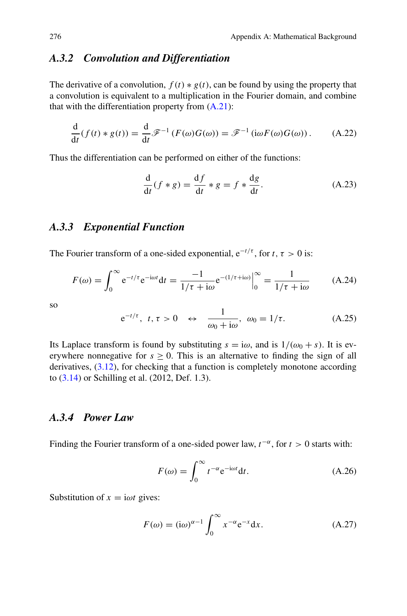# <span id="page-3-2"></span><span id="page-3-1"></span>*A.3.2 Convolution and Differentiation*

The derivative of a convolution,  $f(t) * g(t)$ , can be found by using the property that a convolution is equivalent to a multiplication in the Fourier domain, and combine that with the differentiation property from  $(A.21)$ :

$$
\frac{d}{dt}(f(t) * g(t)) = \frac{d}{dt}\mathcal{F}^{-1}(F(\omega)G(\omega)) = \mathcal{F}^{-1}(\mathrm{i}\omega F(\omega)G(\omega)).\tag{A.22}
$$

Thus the differentiation can be performed on either of the functions:

$$
\frac{d}{dt}(f * g) = \frac{df}{dt} * g = f * \frac{dg}{dt}.
$$
\n(A.23)

# *A.3.3 Exponential Function*

The Fourier transform of a one-sided exponential,  $e^{-t/\tau}$ , for  $t, \tau > 0$  is:

$$
F(\omega) = \int_0^\infty e^{-t/\tau} e^{-i\omega t} dt = \frac{-1}{1/\tau + i\omega} e^{-(1/\tau + i\omega)} \Big|_0^\infty = \frac{1}{1/\tau + i\omega} \tag{A.24}
$$

so

<span id="page-3-0"></span>
$$
e^{-t/\tau}, \ t, \tau > 0 \ \leftrightarrow \ \frac{1}{\omega_0 + i\omega}, \ \omega_0 = 1/\tau. \tag{A.25}
$$

Its Laplace transform is found by substituting  $s = i\omega$ , and is  $1/(\omega_0 + s)$ . It is everywhere nonnegative for  $s \geq 0$ . This is an alternative to finding the sign of all derivatives, (3.12), for checking that a function is completely monotone according to (3.14) or Schilling et al. (2012, Def. 1.3).

# *A.3.4 Power Law*

Finding the Fourier transform of a one-sided power law,  $t^{-\alpha}$ , for  $t > 0$  starts with:

$$
F(\omega) = \int_0^\infty t^{-\alpha} e^{-i\omega t} dt.
$$
 (A.26)

Substitution of  $x = i\omega t$  gives:

$$
F(\omega) = (i\omega)^{\alpha - 1} \int_0^\infty x^{-\alpha} e^{-x} dx.
$$
 (A.27)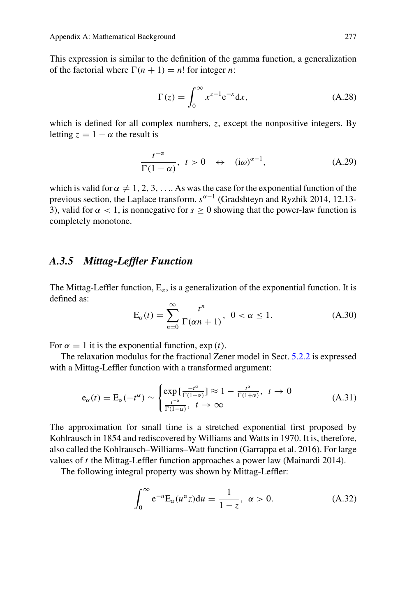<span id="page-4-2"></span>This expression is similar to the definition of the gamma function, a generalization of the factorial where  $\Gamma(n + 1) = n!$  for integer *n*:

$$
\Gamma(z) = \int_0^\infty x^{z-1} e^{-x} dx,
$$
\n(A.28)

which is defined for all complex numbers, *z*, except the nonpositive integers. By letting  $z = 1 - \alpha$  the result is

<span id="page-4-1"></span>
$$
\frac{t^{-\alpha}}{\Gamma(1-\alpha)}, \ t>0 \ \leftrightarrow \ (\mathrm{i}\omega)^{\alpha-1}, \tag{A.29}
$$

which is valid for  $\alpha \neq 1, 2, 3, \ldots$ . As was the case for the exponential function of the previous section, the Laplace transform,  $s^{\alpha-1}$  (Gradshteyn and Ryzhik 2014, 12.13-3), valid for  $\alpha < 1$ , is nonnegative for  $s > 0$  showing that the power-law function is completely monotone.

# *A.3.5 Mittag-Leffler Function*

The Mittag-Leffler function,  $E_{\alpha}$ , is a generalization of the exponential function. It is defined as:

<span id="page-4-0"></span>
$$
E_{\alpha}(t) = \sum_{n=0}^{\infty} \frac{t^n}{\Gamma(\alpha n + 1)}, \quad 0 < \alpha \le 1. \tag{A.30}
$$

For  $\alpha = 1$  it is the exponential function,  $\exp(t)$ .

The relaxation modulus for the fractional Zener model in Sect. 5.2.2 is expressed with a Mittag-Leffler function with a transformed argument:

$$
e_{\alpha}(t) = E_{\alpha}(-t^{\alpha}) \sim \begin{cases} \exp\left[\frac{-t^{\alpha}}{\Gamma(1+\alpha)}\right] \approx 1 - \frac{t^{\alpha}}{\Gamma(1+\alpha)}, \ t \to 0\\ \frac{t^{-\alpha}}{\Gamma(1-\alpha)}, \ t \to \infty \end{cases}
$$
(A.31)

The approximation for small time is a stretched exponential first proposed by Kohlrausch in 1854 and rediscovered by Williams and Watts in 1970. It is, therefore, also called the Kohlrausch–Williams–Watt function (Garrappa et al. 2016). For large values of *t* the Mittag-Leffler function approaches a power law (Mainardi 2014).

The following integral property was shown by Mittag-Leffler:

$$
\int_0^\infty e^{-u} E_\alpha(u^\alpha z) du = \frac{1}{1 - z}, \ \alpha > 0. \tag{A.32}
$$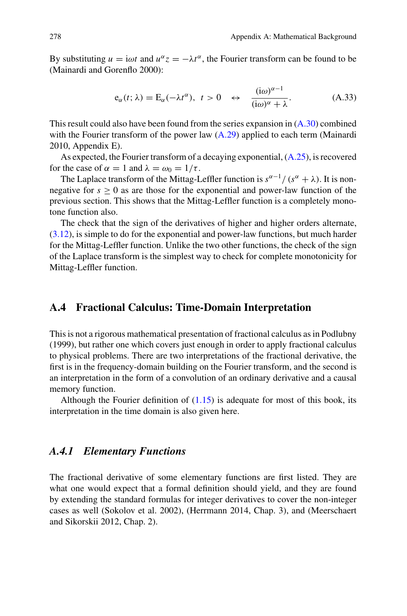<span id="page-5-1"></span>By substituting  $u = i\omega t$  and  $u^{\alpha}z = -\lambda t^{\alpha}$ , the Fourier transform can be found to be (Mainardi and Gorenflo 2000):

$$
e_{\alpha}(t; \lambda) = E_{\alpha}(-\lambda t^{\alpha}), \ t > 0 \quad \leftrightarrow \quad \frac{(i\omega)^{\alpha - 1}}{(i\omega)^{\alpha} + \lambda}.
$$
 (A.33)

This result could also have been found from the series expansion in [\(A.30\)](#page-4-0) combined with the Fourier transform of the power law  $(A.29)$  applied to each term (Mainardi 2010, Appendix E).

As expected, the Fourier transform of a decaying exponential, [\(A.25\)](#page-3-0), is recovered for the case of  $\alpha = 1$  and  $\lambda = \omega_0 = 1/\tau$ .

The Laplace transform of the Mittag-Leffler function is  $s^{\alpha-1}/(s^{\alpha} + \lambda)$ . It is nonnegative for  $s > 0$  as are those for the exponential and power-law function of the previous section. This shows that the Mittag-Leffler function is a completely monotone function also.

The check that the sign of the derivatives of higher and higher orders alternate, (3.12), is simple to do for the exponential and power-law functions, but much harder for the Mittag-Leffler function. Unlike the two other functions, the check of the sign of the Laplace transform is the simplest way to check for complete monotonicity for Mittag-Leffler function.

# **A.4 Fractional Calculus: Time-Domain Interpretation**

This is not a rigorous mathematical presentation of fractional calculus as in Podlubny (1999), but rather one which covers just enough in order to apply fractional calculus to physical problems. There are two interpretations of the fractional derivative, the first is in the frequency-domain building on the Fourier transform, and the second is an interpretation in the form of a convolution of an ordinary derivative and a causal memory function.

Although the Fourier definition of  $(1.15)$  is adequate for most of this book, its interpretation in the time domain is also given here.

## <span id="page-5-0"></span>*A.4.1 Elementary Functions*

The fractional derivative of some elementary functions are first listed. They are what one would expect that a formal definition should yield, and they are found by extending the standard formulas for integer derivatives to cover the non-integer cases as well (Sokolov et al. 2002), (Herrmann 2014, Chap. 3), and (Meerschaert and Sikorskii 2012, Chap. 2).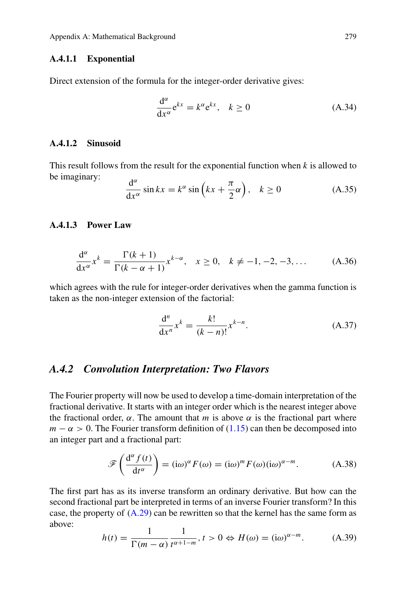#### **A.4.1.1 Exponential**

Direct extension of the formula for the integer-order derivative gives:

$$
\frac{d^{\alpha}}{dx^{\alpha}}e^{kx} = k^{\alpha}e^{kx}, \quad k \ge 0
$$
\n(A.34)

## **A.4.1.2 Sinusoid**

This result follows from the result for the exponential function when *k* is allowed to be imaginary:  $\frac{d}{dx}$ 

$$
\frac{d^{\alpha}}{dx^{\alpha}}\sin kx = k^{\alpha}\sin\left(kx + \frac{\pi}{2}\alpha\right), \quad k \ge 0
$$
\n(A.35)

### **A.4.1.3 Power Law**

<span id="page-6-1"></span>
$$
\frac{d^{\alpha}}{dx^{\alpha}}x^{k} = \frac{\Gamma(k+1)}{\Gamma(k-\alpha+1)}x^{k-\alpha}, \quad x \ge 0, \quad k \ne -1, -2, -3, \dots
$$
 (A.36)

which agrees with the rule for integer-order derivatives when the gamma function is taken as the non-integer extension of the factorial:

$$
\frac{d^n}{dx^n} x^k = \frac{k!}{(k-n)!} x^{k-n}.
$$
 (A.37)

#### *A.4.2 Convolution Interpretation: Two Flavors*

The Fourier property will now be used to develop a time-domain interpretation of the fractional derivative. It starts with an integer order which is the nearest integer above the fractional order,  $\alpha$ . The amount that *m* is above  $\alpha$  is the fractional part where  $m - \alpha > 0$ . The Fourier transform definition of (1.15) can then be decomposed into an integer part and a fractional part:

<span id="page-6-0"></span>
$$
\mathscr{F}\left(\frac{d^{\alpha}f(t)}{dt^{\alpha}}\right) = (i\omega)^{\alpha}F(\omega) = (i\omega)^{m}F(\omega)(i\omega)^{\alpha-m}.
$$
 (A.38)

The first part has as its inverse transform an ordinary derivative. But how can the second fractional part be interpreted in terms of an inverse Fourier transform? In this case, the property of  $(A.29)$  can be rewritten so that the kernel has the same form as above:

$$
h(t) = \frac{1}{\Gamma(m - \alpha)} \frac{1}{t^{\alpha + 1 - m}}, t > 0 \Leftrightarrow H(\omega) = (\mathrm{i}\omega)^{\alpha - m}.
$$
 (A.39)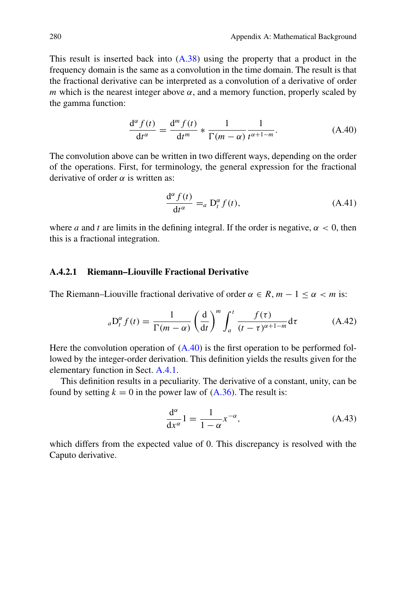<span id="page-7-1"></span>This result is inserted back into [\(A.38\)](#page-6-0) using the property that a product in the frequency domain is the same as a convolution in the time domain. The result is that the fractional derivative can be interpreted as a convolution of a derivative of order *m* which is the nearest integer above  $\alpha$ , and a memory function, properly scaled by the gamma function:

<span id="page-7-0"></span>
$$
\frac{d^{\alpha} f(t)}{dt^{\alpha}} = \frac{d^{m} f(t)}{dt^{m}} \ast \frac{1}{\Gamma(m - \alpha)} \frac{1}{t^{\alpha + 1 - m}}.
$$
 (A.40)

The convolution above can be written in two different ways, depending on the order of the operations. First, for terminology, the general expression for the fractional derivative of order  $\alpha$  is written as:

$$
\frac{d^{\alpha} f(t)}{dt^{\alpha}} =_{a} D_{t}^{\alpha} f(t), \qquad (A.41)
$$

where *a* and *t* are limits in the defining integral. If the order is negative,  $\alpha < 0$ , then this is a fractional integration.

# **A.4.2.1 Riemann–Liouville Fractional Derivative**

The Riemann–Liouville fractional derivative of order  $\alpha \in R$ ,  $m - 1 \le \alpha < m$  is:

$$
{}_{a}D_{t}^{\alpha}f(t) = \frac{1}{\Gamma(m-\alpha)} \left(\frac{d}{dt}\right)^{m} \int_{a}^{t} \frac{f(\tau)}{(t-\tau)^{\alpha+1-m}} d\tau
$$
 (A.42)

Here the convolution operation of  $(A.40)$  is the first operation to be performed followed by the integer-order derivation. This definition yields the results given for the elementary function in Sect. [A.4.1.](#page-5-0)

This definition results in a peculiarity. The derivative of a constant, unity, can be found by setting  $k = 0$  in the power law of  $(A.36)$ . The result is:

$$
\frac{d^{\alpha}}{dx^{\alpha}}1 = \frac{1}{1 - \alpha} x^{-\alpha},\tag{A.43}
$$

which differs from the expected value of 0. This discrepancy is resolved with the Caputo derivative.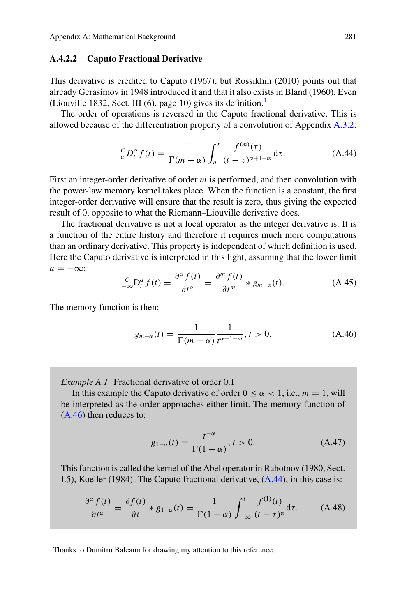#### <span id="page-8-4"></span>**A.4.2.2 Caputo Fractional Derivative**

This derivative is credited to Caputo (1967), but Rossikhin (2010) points out that already Gerasimov in 1948 introduced it and that it also exists in Bland (1960). Even (Liouville 1832, Sect. III  $(6)$ , page 10) gives its definition.<sup>1</sup>

The order of operations is reversed in the Caputo fractional derivative. This is allowed because of the differentiation property of a convolution of Appendix [A.3.2:](#page-3-1)

<span id="page-8-2"></span>
$$
{}_{a}^{C}D_{t}^{\alpha}f(t) = \frac{1}{\Gamma(m-\alpha)} \int_{a}^{t} \frac{f^{(m)}(\tau)}{(t-\tau)^{\alpha+1-m}} d\tau.
$$
 (A.44)

First an integer-order derivative of order *m* is performed, and then convolution with the power-law memory kernel takes place. When the function is a constant, the first integer-order derivative will ensure that the result is zero, thus giving the expected result of 0, opposite to what the Riemann–Liouville derivative does.

The fractional derivative is not a local operator as the integer derivative is. It is a function of the entire history and therefore it requires much more computations than an ordinary derivative. This property is independent of which definition is used. Here the Caputo derivative is interpreted in this light, assuming that the lower limit  $a = -\infty$ :

$$
\frac{c}{-\infty} \mathcal{D}_t^{\alpha} f(t) = \frac{\partial^{\alpha} f(t)}{\partial t^{\alpha}} = \frac{\partial^m f(t)}{\partial t^m} * g_{m-\alpha}(t). \tag{A.45}
$$

The memory function is then:

<span id="page-8-1"></span>
$$
g_{m-\alpha}(t) = \frac{1}{\Gamma(m-\alpha)} \frac{1}{t^{\alpha+1-m}}, t > 0.
$$
 (A.46)

*Example A.1* Fractional derivative of order 0.1

In this example the Caputo derivative of order  $0 \le \alpha < 1$ , i.e.,  $m = 1$ , will be interpreted as the order approaches either limit. The memory function of [\(A.46\)](#page-8-1) then reduces to:

$$
g_{1-\alpha}(t) = \frac{t^{-\alpha}}{\Gamma(1-\alpha)}, t > 0.
$$
 (A.47)

This function is called the kernel of the Abel operator in Rabotnov (1980, Sect. I.5), Koeller (1984). The Caputo fractional derivative, [\(A.44\)](#page-8-2), in this case is:

<span id="page-8-3"></span>
$$
\frac{\partial^{\alpha} f(t)}{\partial t^{\alpha}} = \frac{\partial f(t)}{\partial t} * g_{1-\alpha}(t) = \frac{1}{\Gamma(1-\alpha)} \int_{-\infty}^{t} \frac{f^{(1)}(t)}{(t-\tau)^{\alpha}} d\tau.
$$
 (A.48)

<span id="page-8-0"></span><sup>&</sup>lt;sup>1</sup>Thanks to Dumitru Baleanu for drawing my attention to this reference.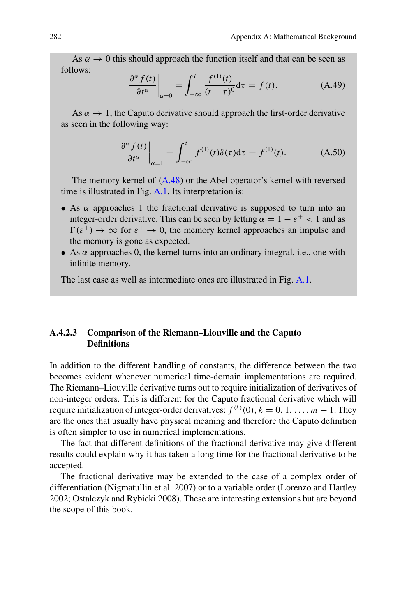As  $\alpha \rightarrow 0$  this should approach the function itself and that can be seen as follows:

$$
\left. \frac{\partial^{\alpha} f(t)}{\partial t^{\alpha}} \right|_{\alpha=0} = \int_{-\infty}^{t} \frac{f^{(1)}(t)}{(t-\tau)^{0}} d\tau = f(t). \tag{A.49}
$$

As  $\alpha \rightarrow 1$ , the Caputo derivative should approach the first-order derivative as seen in the following way:

$$
\left. \frac{\partial^{\alpha} f(t)}{\partial t^{\alpha}} \right|_{\alpha=1} = \int_{-\infty}^{t} f^{(1)}(t) \delta(\tau) d\tau = f^{(1)}(t). \tag{A.50}
$$

The memory kernel of [\(A.48\)](#page-8-3) or the Abel operator's kernel with reversed time is illustrated in Fig. [A.1.](#page-10-0) Its interpretation is:

- As  $\alpha$  approaches 1 the fractional derivative is supposed to turn into an integer-order derivative. This can be seen by letting  $\alpha = 1 - \varepsilon^+ < 1$  and as  $\Gamma(\varepsilon^+) \to \infty$  for  $\varepsilon^+ \to 0$ , the memory kernel approaches an impulse and the memory is gone as expected.
- As  $\alpha$  approaches 0, the kernel turns into an ordinary integral, i.e., one with infinite memory.

The last case as well as intermediate ones are illustrated in Fig. [A.1.](#page-10-0)

## **A.4.2.3 Comparison of the Riemann–Liouville and the Caputo Definitions**

In addition to the different handling of constants, the difference between the two becomes evident whenever numerical time-domain implementations are required. The Riemann–Liouville derivative turns out to require initialization of derivatives of non-integer orders. This is different for the Caputo fractional derivative which will require initialization of integer-order derivatives:  $f^{(k)}(0)$ ,  $k = 0, 1, ..., m - 1$ . They are the ones that usually have physical meaning and therefore the Caputo definition is often simpler to use in numerical implementations.

The fact that different definitions of the fractional derivative may give different results could explain why it has taken a long time for the fractional derivative to be accepted.

The fractional derivative may be extended to the case of a complex order of differentiation (Nigmatullin et al. 2007) or to a variable order (Lorenzo and Hartley 2002; Ostalczyk and Rybicki 2008). These are interesting extensions but are beyond the scope of this book.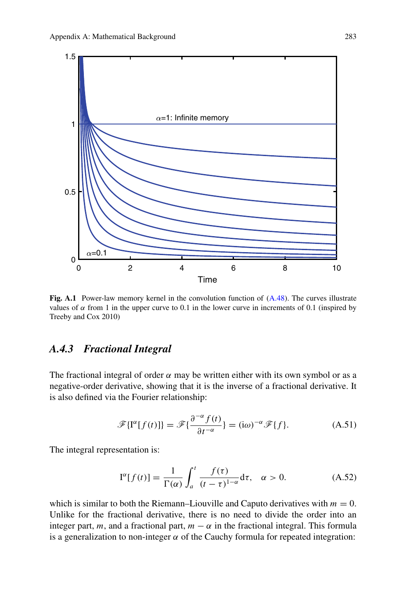<span id="page-10-1"></span>

<span id="page-10-0"></span>Fig. A.1 Power-law memory kernel in the convolution function of  $(A.48)$ . The curves illustrate values of  $\alpha$  from 1 in the upper curve to 0.1 in the lower curve in increments of 0.1 (inspired by Treeby and Cox 2010)

## *A.4.3 Fractional Integral*

The fractional integral of order  $\alpha$  may be written either with its own symbol or as a negative-order derivative, showing that it is the inverse of a fractional derivative. It is also defined via the Fourier relationship:

$$
\mathscr{F}\{\mathbf{I}^{\alpha}[f(t)]\} = \mathscr{F}\{\frac{\partial^{-\alpha}f(t)}{\partial t^{-\alpha}}\} = (\mathbf{i}\omega)^{-\alpha}\mathscr{F}\{f\}.
$$
 (A.51)

The integral representation is:

$$
\mathbf{I}^{\alpha}[f(t)] = \frac{1}{\Gamma(\alpha)} \int_{a}^{t} \frac{f(\tau)}{(t-\tau)^{1-\alpha}} d\tau, \quad \alpha > 0.
$$
 (A.52)

which is similar to both the Riemann–Liouville and Caputo derivatives with  $m = 0$ . Unlike for the fractional derivative, there is no need to divide the order into an integer part, *m*, and a fractional part,  $m - \alpha$  in the fractional integral. This formula is a generalization to non-integer  $\alpha$  of the Cauchy formula for repeated integration: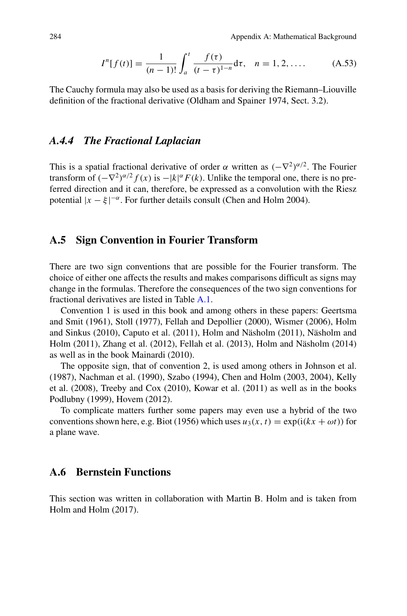$$
I^{n}[f(t)] = \frac{1}{(n-1)!} \int_{a}^{t} \frac{f(\tau)}{(t-\tau)^{1-n}} d\tau, \quad n = 1, 2, .... \quad (A.53)
$$

<span id="page-11-0"></span>The Cauchy formula may also be used as a basis for deriving the Riemann–Liouville definition of the fractional derivative (Oldham and Spainer 1974, Sect. 3.2).

# *A.4.4 The Fractional Laplacian*

This is a spatial fractional derivative of order  $\alpha$  written as  $(-\nabla^2)^{\alpha/2}$ . The Fourier transform of  $(-\nabla^2)^{\alpha/2} f(x)$  is  $-|k|^{\alpha} F(k)$ . Unlike the temporal one, there is no preferred direction and it can, therefore, be expressed as a convolution with the Riesz potential  $|x - \xi|^{-\alpha}$ . For further details consult (Chen and Holm 2004).

## **A.5 Sign Convention in Fourier Transform**

There are two sign conventions that are possible for the Fourier transform. The choice of either one affects the results and makes comparisons difficult as signs may change in the formulas. Therefore the consequences of the two sign conventions for fractional derivatives are listed in Table [A.1.](#page-12-0)

Convention 1 is used in this book and among others in these papers: Geertsma and Smit (1961), Stoll (1977), Fellah and Depollier (2000), Wismer (2006), Holm and Sinkus (2010), Caputo et al. (2011), Holm and Näsholm (2011), Näsholm and Holm (2011), Zhang et al. (2012), Fellah et al. (2013), Holm and Näsholm (2014) as well as in the book Mainardi (2010).

The opposite sign, that of convention 2, is used among others in Johnson et al. (1987), Nachman et al. (1990), Szabo (1994), Chen and Holm (2003, 2004), Kelly et al. (2008), Treeby and Cox (2010), Kowar et al. (2011) as well as in the books Podlubny (1999), Hovem (2012).

To complicate matters further some papers may even use a hybrid of the two conventions shown here, e.g. Biot (1956) which uses  $u_3(x, t) = \exp(i(kx + \omega t))$  for a plane wave.

# **A.6 Bernstein Functions**

This section was written in collaboration with Martin B. Holm and is taken from Holm and Holm (2017).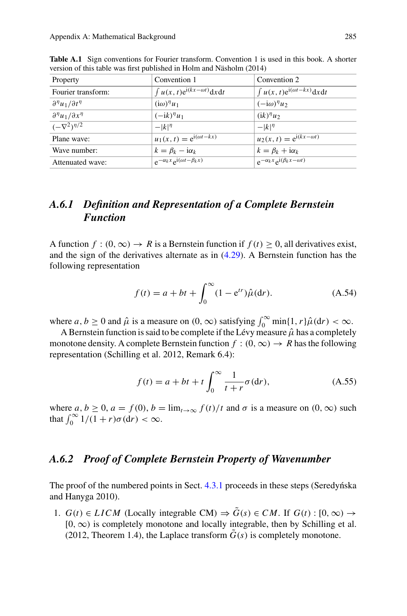<span id="page-12-0"></span>

| Convention 1                                  | Convention 2                                  |
|-----------------------------------------------|-----------------------------------------------|
| $\int u(x, t) e^{i(kx - \omega t)} dx dt$     | $\int u(x, t) e^{i(\omega t - kx)} dx dt$     |
| $(i\omega)^{\eta}u_1$                         | $(-i\omega)^{\eta}u_2$                        |
| $(-ik)^{\eta}u_1$                             | $(ik)^{\eta}u_2$                              |
| $- k ^{\eta}$                                 | $- k ^{\eta}$                                 |
| $u_1(x, t) = e^{i(\omega t - kx)}$            | $u_2(x, t) = e^{i(kx - \omega t)}$            |
| $k = \beta_k - i\alpha_k$                     | $k = \beta_k + i\alpha_k$                     |
| $e^{-\alpha_k x} e^{i(\omega t - \beta_k x)}$ | $e^{-\alpha_k x} e^{i(\beta_k x - \omega t)}$ |
|                                               |                                               |

**Table A.1** Sign conventions for Fourier transform. Convention 1 is used in this book. A shorter version of this table was first published in Holm and Näsholm (2014)

# *A.6.1 Definition and Representation of a Complete Bernstein Function*

A function  $f : (0, \infty) \to R$  is a Bernstein function if  $f(t) \ge 0$ , all derivatives exist, and the sign of the derivatives alternate as in (4.29). A Bernstein function has the following representation

$$
f(t) = a + bt + \int_0^{\infty} (1 - e^{tr}) \hat{\mu}(dr).
$$
 (A.54)

where  $a, b \ge 0$  and  $\hat{\mu}$  is a measure on  $(0, \infty)$  satisfying  $\int_0^\infty \min\{1, r\} \hat{\mu}(dr) < \infty$ .

A Bernstein function is said to be complete if the Lévy measure  $\hat{\mu}$  has a completely monotone density. A complete Bernstein function  $f : (0, \infty) \to R$  has the following representation (Schilling et al. 2012, Remark 6.4):

<span id="page-12-1"></span>
$$
f(t) = a + bt + t \int_0^\infty \frac{1}{t + r} \sigma(dr), \tag{A.55}
$$

where  $a, b \ge 0, a = f(0), b = \lim_{t \to \infty} \frac{f(t)}{t}$  and  $\sigma$  is a measure on  $(0, \infty)$  such that  $\int_0^\infty 1/(1+r)\sigma(dr) < \infty$ .

# *A.6.2 Proof of Complete Bernstein Property of Wavenumber*

The proof of the numbered points in Sect.  $4.3.1$  proceeds in these steps (Seredynska) and Hanyga 2010).

1. *G*(*t*) ∈ *LICM* (Locally integrable CM)  $\Rightarrow$   $\tilde{G}(s) \in CM$ . If  $G(t): [0, \infty) \rightarrow$ [0,∞) is completely monotone and locally integrable, then by Schilling et al. (2012, Theorem 1.4), the Laplace transform  $\tilde{G}(s)$  is completely monotone.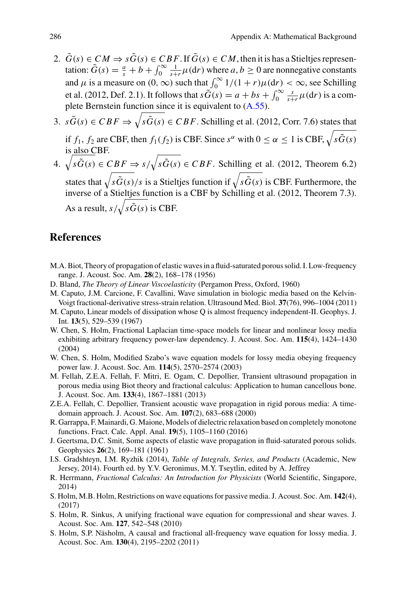- 2.  $\tilde{G}(s) \in CM \Rightarrow s\tilde{G}(s) \in CBF$ . If  $\tilde{G}(s) \in CM$ , then it is has a Stieltjes representation:  $\tilde{G}(s) = \frac{a}{s} + b + \int_0^\infty \frac{1}{s+r} \mu(dr)$  where  $a, b \ge 0$  are nonnegative constants and  $\mu$  is a measure on  $(0, \infty)$  such that  $\int_0^\infty 1/(1+r)\mu(dr) < \infty$ , see Schilling et al. (2012, Def. 2.1). It follows that  $s\tilde{G}(s) = a + bs + \int_0^\infty \frac{s}{s+r} \mu(dr)$  is a complete Bernstein function since it is equivalent to [\(A.55\)](#page-12-1).
- 3.  $s\tilde{G}(s) \in CBF \Rightarrow \sqrt{s\tilde{G}(s) \in CBF}$ . Schilling et al. (2012, Corr. 7.6) states that if  $f_1$ ,  $f_2$  are CBF, then  $f_1(f_2)$  is CBF. Since  $s^{\alpha}$  with  $0 \le \alpha \le 1$  is CBF,  $\sqrt{s\tilde{G}(s)}$ is also CBF.
- 4.  $\sqrt{s\tilde{G}(s)} \in CBF \Rightarrow s/\sqrt{s\tilde{G}(s)} \in CBF$ . Schilling et al. (2012, Theorem 6.2) states that  $\sqrt{s\tilde{G}(s)/s}$  is a Stieltjes function if  $\sqrt{s\tilde{G}(s)}$  is CBF. Furthermore, the inverse of a Stieltjes function is a CBF by Schilling et al. (2012, Theorem 7.3). As a result,  $s/\sqrt{s\tilde{G}(s)}$  is CBF.

# **References**

- M.A. Biot, Theory of propagation of elastic waves in a fluid-saturated porous solid. I. Low-frequency range. J. Acoust. Soc. Am. **28**(2), 168–178 (1956)
- D. Bland, *The Theory of Linear Viscoelasticity* (Pergamon Press, Oxford, 1960)
- M. Caputo, J.M. Carcione, F. Cavallini, Wave simulation in biologic media based on the Kelvin-Voigt fractional-derivative stress-strain relation. Ultrasound Med. Biol. **37**(76), 996–1004 (2011)
- M. Caputo, Linear models of dissipation whose Q is almost frequency independent-II. Geophys. J. Int. **13**(5), 529–539 (1967)
- W. Chen, S. Holm, Fractional Laplacian time-space models for linear and nonlinear lossy media exhibiting arbitrary frequency power-law dependency. J. Acoust. Soc. Am. **115**(4), 1424–1430 (2004)
- W. Chen, S. Holm, Modified Szabo's wave equation models for lossy media obeying frequency power law. J. Acoust. Soc. Am. **114**(5), 2570–2574 (2003)
- M. Fellah, Z.E.A. Fellah, F. Mitri, E. Ogam, C. Depollier, Transient ultrasound propagation in porous media using Biot theory and fractional calculus: Application to human cancellous bone. J. Acoust. Soc. Am. **133**(4), 1867–1881 (2013)
- Z.E.A. Fellah, C. Depollier, Transient acoustic wave propagation in rigid porous media: A timedomain approach. J. Acoust. Soc. Am. **107**(2), 683–688 (2000)
- R. Garrappa, F. Mainardi, G. Maione, Models of dielectric relaxation based on completely monotone functions. Fract. Calc. Appl. Anal. **19**(5), 1105–1160 (2016)
- J. Geertsma, D.C. Smit, Some aspects of elastic wave propagation in fluid-saturated porous solids. Geophysics **26**(2), 169–181 (1961)
- I.S. Gradshteyn, I.M. Ryzhik (2014), *Table of Integrals, Series, and Products* (Academic, New Jersey, 2014). Fourth ed. by Y.V. Geronimus, M.Y. Tseytlin, edited by A. Jeffrey
- R. Herrmann, *Fractional Calculus: An Introduction for Physicists* (World Scientific, Singapore, 2014)
- S. Holm, M.B. Holm, Restrictions on wave equations for passive media. J. Acoust. Soc. Am. **142**(4), (2017)
- S. Holm, R. Sinkus, A unifying fractional wave equation for compressional and shear waves. J. Acoust. Soc. Am. **127**, 542–548 (2010)
- S. Holm, S.P. Näsholm, A causal and fractional all-frequency wave equation for lossy media. J. Acoust. Soc. Am. **130**(4), 2195–2202 (2011)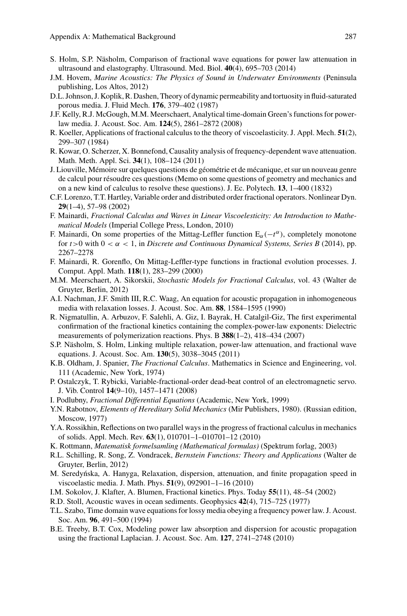- S. Holm, S.P. Näsholm, Comparison of fractional wave equations for power law attenuation in ultrasound and elastography. Ultrasound. Med. Biol. **40**(4), 695–703 (2014)
- J.M. Hovem, *Marine Acoustics: The Physics of Sound in Underwater Environments* (Peninsula publishing, Los Altos, 2012)
- D.L. Johnson, J. Koplik, R. Dashen, Theory of dynamic permeability and tortuosity in fluid-saturated porous media. J. Fluid Mech. **176**, 379–402 (1987)
- J.F. Kelly, R.J. McGough, M.M. Meerschaert, Analytical time-domain Green's functions for powerlaw media. J. Acoust. Soc. Am. **124**(5), 2861–2872 (2008)
- R. Koeller, Applications of fractional calculus to the theory of viscoelasticity. J. Appl. Mech. **51**(2), 299–307 (1984)
- R. Kowar, O. Scherzer, X. Bonnefond, Causality analysis of frequency-dependent wave attenuation. Math. Meth. Appl. Sci. **34**(1), 108–124 (2011)
- J. Liouville, Mémoire sur quelques questions de géométrie et de mécanique, et sur un nouveau genre de calcul pour résoudre ces questions (Memo on some questions of geometry and mechanics and on a new kind of calculus to resolve these questions). J. Ec. Polytech. **13**, 1–400 (1832)
- C.F. Lorenzo, T.T. Hartley, Variable order and distributed order fractional operators. Nonlinear Dyn. **29**(1–4), 57–98 (2002)
- F. Mainardi, *Fractional Calculus and Waves in Linear Viscoelesticity: An Introduction to Mathematical Models* (Imperial College Press, London, 2010)
- F. Mainardi, On some properties of the Mittag-Leffler function  $E_\alpha(-t^\alpha)$ , completely monotone for  $t > 0$  with  $0 < \alpha < 1$ , in *Discrete and Continuous Dynamical Systems, Series B* (2014), pp. 2267–2278
- F. Mainardi, R. Gorenflo, On Mittag-Leffler-type functions in fractional evolution processes. J. Comput. Appl. Math. **118**(1), 283–299 (2000)
- M.M. Meerschaert, A. Sikorskii, *Stochastic Models for Fractional Calculus*, vol. 43 (Walter de Gruyter, Berlin, 2012)
- A.I. Nachman, J.F. Smith III, R.C. Waag, An equation for acoustic propagation in inhomogeneous media with relaxation losses. J. Acoust. Soc. Am. **88**, 1584–1595 (1990)
- R. Nigmatullin, A. Arbuzov, F. Salehli, A. Giz, I. Bayrak, H. Catalgil-Giz, The first experimental confirmation of the fractional kinetics containing the complex-power-law exponents: Dielectric measurements of polymerization reactions. Phys. B **388**(1–2), 418–434 (2007)
- S.P. Näsholm, S. Holm, Linking multiple relaxation, power-law attenuation, and fractional wave equations. J. Acoust. Soc. Am. **130**(5), 3038–3045 (2011)
- K.B. Oldham, J. Spanier, *The Fractional Calculus*. Mathematics in Science and Engineering, vol. 111 (Academic, New York, 1974)
- P. Ostalczyk, T. Rybicki, Variable-fractional-order dead-beat control of an electromagnetic servo. J. Vib. Control **14**(9–10), 1457–1471 (2008)
- I. Podlubny, *Fractional Differential Equations* (Academic, New York, 1999)
- Y.N. Rabotnov, *Elements of Hereditary Solid Mechanics* (Mir Publishers, 1980). (Russian edition, Moscow, 1977)
- Y.A. Rossikhin, Reflections on two parallel ways in the progress of fractional calculus in mechanics of solids. Appl. Mech. Rev. **63**(1), 010701–1–010701–12 (2010)
- K. Rottmann, *Matematisk formelsamling (Mathematical formulas)* (Spektrum forlag, 2003)
- R.L. Schilling, R. Song, Z. Vondracek, *Bernstein Functions: Theory and Applications* (Walter de Gruyter, Berlin, 2012)
- M. Seredyńska, A. Hanyga, Relaxation, dispersion, attenuation, and finite propagation speed in viscoelastic media. J. Math. Phys. **51**(9), 092901–1–16 (2010)
- I.M. Sokolov, J. Klafter, A. Blumen, Fractional kinetics. Phys. Today **55**(11), 48–54 (2002)
- R.D. Stoll, Acoustic waves in ocean sediments. Geophysics **42**(4), 715–725 (1977)
- T.L. Szabo, Time domain wave equations for lossy media obeying a frequency power law. J. Acoust. Soc. Am. **96**, 491–500 (1994)
- B.E. Treeby, B.T. Cox, Modeling power law absorption and dispersion for acoustic propagation using the fractional Laplacian. J. Acoust. Soc. Am. **127**, 2741–2748 (2010)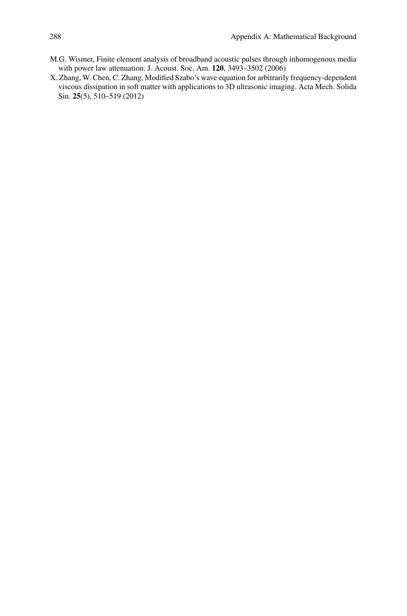- M.G. Wismer, Finite element analysis of broadband acoustic pulses through inhomogenous media with power law attenuation. J. Acoust. Soc. Am. **120**, 3493–3502 (2006)
- X. Zhang, W. Chen, C. Zhang, Modified Szabo's wave equation for arbitrarily frequency-dependent viscous dissipation in soft matter with applications to 3D ultrasonic imaging. Acta Mech. Solida Sin. **25**(5), 510–519 (2012)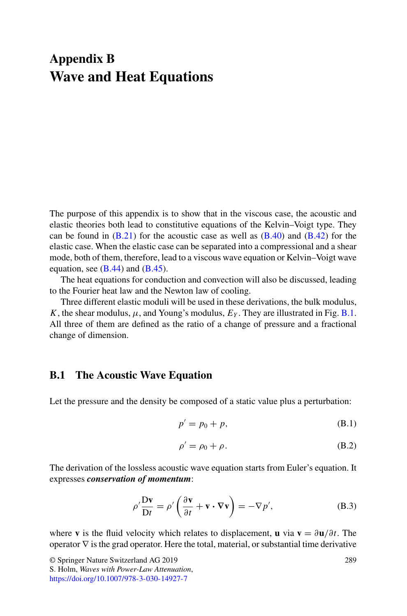# <span id="page-16-2"></span>**Appendix B Wave and Heat Equations**

The purpose of this appendix is to show that in the viscous case, the acoustic and elastic theories both lead to constitutive equations of the Kelvin–Voigt type. They can be found in  $(B.21)$  for the acoustic case as well as  $(B.40)$  and  $(B.42)$  for the elastic case. When the elastic case can be separated into a compressional and a shear mode, both of them, therefore, lead to a viscous wave equation or Kelvin–Voigt wave equation, see  $(B.44)$  and  $(B.45)$ .

The heat equations for conduction and convection will also be discussed, leading to the Fourier heat law and the Newton law of cooling.

Three different elastic moduli will be used in these derivations, the bulk modulus, *K*, the shear modulus,  $\mu$ , and Young's modulus,  $E_Y$ . They are illustrated in Fig. [B.1.](#page-17-0) All three of them are defined as the ratio of a change of pressure and a fractional change of dimension.

# **B.1 The Acoustic Wave Equation**

Let the pressure and the density be composed of a static value plus a perturbation:

$$
p' = p_0 + p,\tag{B.1}
$$

<span id="page-16-1"></span><span id="page-16-0"></span>
$$
\rho' = \rho_0 + \rho. \tag{B.2}
$$

The derivation of the lossless acoustic wave equation starts from Euler's equation. It expresses *conservation of momentum*:

$$
\rho' \frac{\mathbf{D} \mathbf{v}}{\mathbf{D} t} = \rho' \left( \frac{\partial \mathbf{v}}{\partial t} + \mathbf{v} \cdot \nabla \mathbf{v} \right) = -\nabla p', \tag{B.3}
$$

where **v** is the fluid velocity which relates to displacement, **u** via  $\mathbf{v} = \frac{\partial \mathbf{u}}{\partial t}$ . The operator  $\nabla$  is the grad operator. Here the total, material, or substantial time derivative

<sup>©</sup> Springer Nature Switzerland AG 2019

S. Holm, *Waves with Power-Law Attenuation*, <https://doi.org/10.1007/978-3-030-14927-7>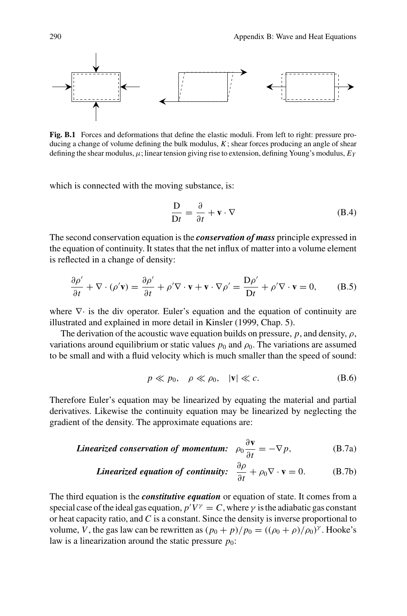<span id="page-17-3"></span>

<span id="page-17-0"></span>**Fig. B.1** Forces and deformations that define the elastic moduli. From left to right: pressure producing a change of volume defining the bulk modulus, *K*; shear forces producing an angle of shear defining the shear modulus,  $\mu$ ; linear tension giving rise to extension, defining Young's modulus,  $E_Y$ 

which is connected with the moving substance, is:

$$
\frac{\mathbf{D}}{\mathbf{D}t} = \frac{\partial}{\partial t} + \mathbf{v} \cdot \nabla
$$
 (B.4)

The second conservation equation is the *conservation of mass* principle expressed in the equation of continuity. It states that the net influx of matter into a volume element is reflected in a change of density:

$$
\frac{\partial \rho'}{\partial t} + \nabla \cdot (\rho' \mathbf{v}) = \frac{\partial \rho'}{\partial t} + \rho' \nabla \cdot \mathbf{v} + \mathbf{v} \cdot \nabla \rho' = \frac{\mathbf{D}\rho'}{\mathbf{D}t} + \rho' \nabla \cdot \mathbf{v} = 0,
$$
 (B.5)

where  $\nabla \cdot$  is the div operator. Euler's equation and the equation of continuity are illustrated and explained in more detail in Kinsler (1999, Chap. 5).

The derivation of the acoustic wave equation builds on pressure,  $p$ , and density,  $\rho$ , variations around equilibrium or static values  $p_0$  and  $\rho_0$ . The variations are assumed to be small and with a fluid velocity which is much smaller than the speed of sound:

<span id="page-17-2"></span><span id="page-17-1"></span>
$$
p \ll p_0, \quad \rho \ll \rho_0, \quad |\mathbf{v}| \ll c. \tag{B.6}
$$

Therefore Euler's equation may be linearized by equating the material and partial derivatives. Likewise the continuity equation may be linearized by neglecting the gradient of the density. The approximate equations are:

**Linearized conservation of momentum:** 
$$
\rho_0 \frac{\partial \mathbf{v}}{\partial t} = -\nabla p
$$
, (B.7a)

**Linearized equation of continuity:** 
$$
\frac{\partial \rho}{\partial t} + \rho_0 \nabla \cdot \mathbf{v} = 0.
$$
 (B.7b)

The third equation is the *constitutive equation* or equation of state. It comes from a special case of the ideal gas equation,  $p'V^{\gamma} = C$ , where  $\gamma$  is the adiabatic gas constant or heat capacity ratio, and *C* is a constant. Since the density is inverse proportional to volume, *V*, the gas law can be rewritten as  $(p_0 + p)/p_0 = ((\rho_0 + p)/\rho_0)^{\gamma}$ . Hooke's law is a linearization around the static pressure  $p_0$ :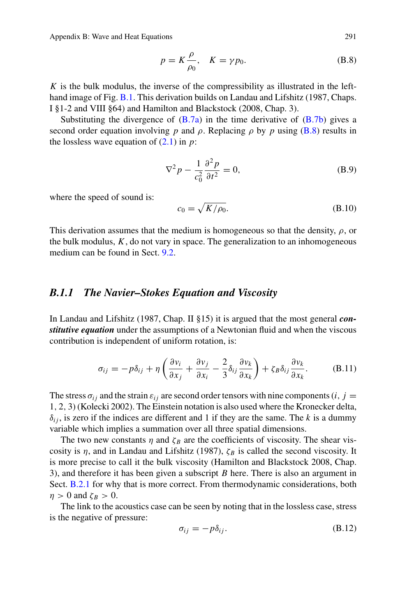<span id="page-18-4"></span>Appendix B: Wave and Heat Equations 291

<span id="page-18-0"></span>
$$
p = K \frac{\rho}{\rho_0}, \quad K = \gamma p_0. \tag{B.8}
$$

*K* is the bulk modulus, the inverse of the compressibility as illustrated in the lefthand image of Fig. [B.1.](#page-17-0) This derivation builds on Landau and Lifshitz (1987, Chaps. I §1-2 and VIII §64) and Hamilton and Blackstock (2008, Chap. 3).

Substituting the divergence of  $(B.7a)$  in the time derivative of  $(B.7b)$  gives a second order equation involving *p* and  $\rho$ . Replacing  $\rho$  by *p* using [\(B.8\)](#page-18-0) results in the lossless wave equation of  $(2.1)$  in  $p$ :

$$
\nabla^2 p - \frac{1}{c_0^2} \frac{\partial^2 p}{\partial t^2} = 0,
$$
 (B.9)

where the speed of sound is:

<span id="page-18-2"></span>
$$
c_0 = \sqrt{K/\rho_0}.\tag{B.10}
$$

This derivation assumes that the medium is homogeneous so that the density,  $\rho$ , or the bulk modulus,  $K$ , do not vary in space. The generalization to an inhomogeneous medium can be found in Sect. 9.2.

## <span id="page-18-3"></span>*B.1.1 The Navier–Stokes Equation and Viscosity*

In Landau and Lifshitz (1987, Chap. II §15) it is argued that the most general *constitutive equation* under the assumptions of a Newtonian fluid and when the viscous contribution is independent of uniform rotation, is:

<span id="page-18-1"></span>
$$
\sigma_{ij} = -p\delta_{ij} + \eta \left( \frac{\partial v_i}{\partial x_j} + \frac{\partial v_j}{\partial x_i} - \frac{2}{3} \delta_{ij} \frac{\partial v_k}{\partial x_k} \right) + \zeta_B \delta_{ij} \frac{\partial v_k}{\partial x_k}.
$$
 (B.11)

The stress  $\sigma_{ij}$  and the strain  $\varepsilon_{ij}$  are second order tensors with nine components (*i*, *j* = 1, 2, 3) (Kolecki 2002). The Einstein notation is also used where the Kronecker delta,  $\delta_{ij}$ , is zero if the indices are different and 1 if they are the same. The *k* is a dummy variable which implies a summation over all three spatial dimensions.

The two new constants  $\eta$  and  $\zeta_B$  are the coefficients of viscosity. The shear viscosity is  $\eta$ , and in Landau and Lifshitz (1987),  $\zeta_B$  is called the second viscosity. It is more precise to call it the bulk viscosity (Hamilton and Blackstock 2008, Chap. 3), and therefore it has been given a subscript *B* here. There is also an argument in Sect. [B.2.1](#page-25-3) for why that is more correct. From thermodynamic considerations, both  $\eta > 0$  and  $\zeta_B > 0$ .

The link to the acoustics case can be seen by noting that in the lossless case, stress is the negative of pressure:

$$
\sigma_{ij} = -p\delta_{ij}.\tag{B.12}
$$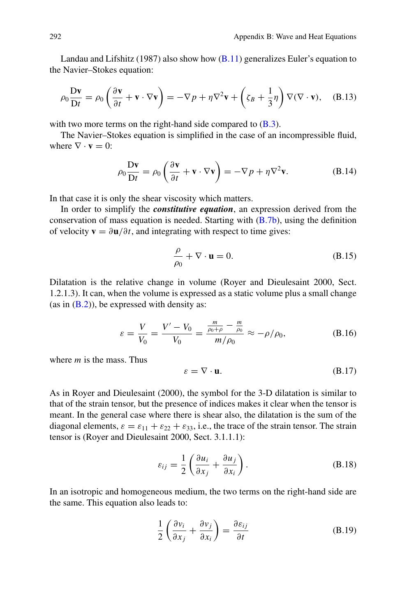<span id="page-19-3"></span>Landau and Lifshitz (1987) also show how  $(B.11)$  generalizes Euler's equation to the Navier–Stokes equation:

$$
\rho_0 \frac{\mathbf{D} \mathbf{v}}{\mathbf{D} t} = \rho_0 \left( \frac{\partial \mathbf{v}}{\partial t} + \mathbf{v} \cdot \nabla \mathbf{v} \right) = -\nabla p + \eta \nabla^2 \mathbf{v} + \left( \zeta_B + \frac{1}{3} \eta \right) \nabla (\nabla \cdot \mathbf{v}), \quad (B.13)
$$

with two more terms on the right-hand side compared to  $(B.3)$ .

The Navier–Stokes equation is simplified in the case of an incompressible fluid, where  $\nabla \cdot \mathbf{v} = 0$ .

$$
\rho_0 \frac{\mathbf{D} \mathbf{v}}{\mathbf{D} t} = \rho_0 \left( \frac{\partial \mathbf{v}}{\partial t} + \mathbf{v} \cdot \nabla \mathbf{v} \right) = -\nabla p + \eta \nabla^2 \mathbf{v}.
$$
 (B.14)

In that case it is only the shear viscosity which matters.

In order to simplify the *constitutive equation*, an expression derived from the conservation of mass equation is needed. Starting with [\(B.7b\)](#page-17-2), using the definition of velocity  $\mathbf{v} = \partial \mathbf{u}/\partial t$ , and integrating with respect to time gives:

<span id="page-19-2"></span>
$$
\frac{\rho}{\rho_0} + \nabla \cdot \mathbf{u} = 0. \tag{B.15}
$$

Dilatation is the relative change in volume (Royer and Dieulesaint 2000, Sect. 1.2.1.3). It can, when the volume is expressed as a static volume plus a small change (as in  $(B.2)$ ), be expressed with density as:

$$
\varepsilon = \frac{V}{V_0} = \frac{V' - V_0}{V_0} = \frac{\frac{m}{\rho_0 + \rho} - \frac{m}{\rho_0}}{m/\rho_0} \approx -\rho/\rho_0,
$$
 (B.16)

where *m* is the mass. Thus

$$
\varepsilon = \nabla \cdot \mathbf{u}.\tag{B.17}
$$

As in Royer and Dieulesaint (2000), the symbol for the 3-D dilatation is similar to that of the strain tensor, but the presence of indices makes it clear when the tensor is meant. In the general case where there is shear also, the dilatation is the sum of the diagonal elements,  $\varepsilon = \varepsilon_{11} + \varepsilon_{22} + \varepsilon_{33}$ , i.e., the trace of the strain tensor. The strain tensor is (Royer and Dieulesaint 2000, Sect. 3.1.1.1):

<span id="page-19-0"></span>
$$
\varepsilon_{ij} = \frac{1}{2} \left( \frac{\partial u_i}{\partial x_j} + \frac{\partial u_j}{\partial x_i} \right).
$$
 (B.18)

In an isotropic and homogeneous medium, the two terms on the right-hand side are the same. This equation also leads to:

<span id="page-19-1"></span>
$$
\frac{1}{2} \left( \frac{\partial v_i}{\partial x_j} + \frac{\partial v_j}{\partial x_i} \right) = \frac{\partial \varepsilon_{ij}}{\partial t}
$$
 (B.19)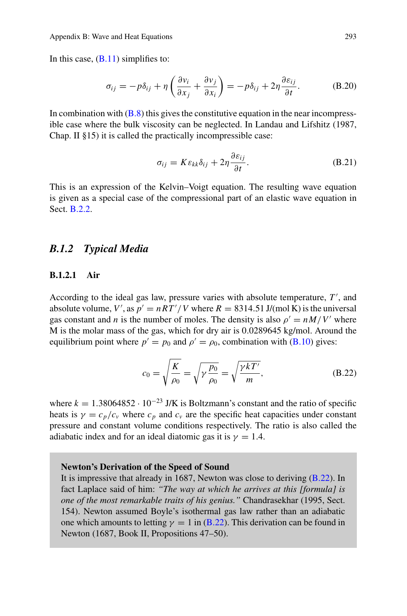<span id="page-20-2"></span>In this case,  $(B.11)$  simplifies to:

$$
\sigma_{ij} = -p\delta_{ij} + \eta \left( \frac{\partial v_i}{\partial x_j} + \frac{\partial v_j}{\partial x_i} \right) = -p\delta_{ij} + 2\eta \frac{\partial \varepsilon_{ij}}{\partial t}.
$$
 (B.20)

In combination with  $(B.8)$  this gives the constitutive equation in the near incompressible case where the bulk viscosity can be neglected. In Landau and Lifshitz (1987, Chap. II §15) it is called the practically incompressible case:

<span id="page-20-0"></span>
$$
\sigma_{ij} = K \varepsilon_{kk} \delta_{ij} + 2\eta \frac{\partial \varepsilon_{ij}}{\partial t}.
$$
 (B.21)

This is an expression of the Kelvin–Voigt equation. The resulting wave equation is given as a special case of the compressional part of an elastic wave equation in Sect. [B.2.2.](#page-26-1)

## *B.1.2 Typical Media*

## **B.1.2.1 Air**

According to the ideal gas law, pressure varies with absolute temperature, *T* , and absolute volume, *V'*, as  $p' = nRT'/V$  where  $R = 8314.51$  J/(mol K) is the universal gas constant and *n* is the number of moles. The density is also  $\rho' = nM/V'$  where M is the molar mass of the gas, which for dry air is 0.0289645 kg/mol. Around the equilibrium point where  $p' = p_0$  and  $p' = \rho_0$ , combination with [\(B.10\)](#page-18-2) gives:

<span id="page-20-1"></span>
$$
c_0 = \sqrt{\frac{K}{\rho_0}} = \sqrt{\gamma \frac{p_0}{\rho_0}} = \sqrt{\frac{\gamma kT'}{m}},
$$
 (B.22)

where  $k = 1.38064852 \cdot 10^{-23}$  J/K is Boltzmann's constant and the ratio of specific heats is  $\gamma = c_p/c_v$  where  $c_p$  and  $c_v$  are the specific heat capacities under constant pressure and constant volume conditions respectively. The ratio is also called the adiabatic index and for an ideal diatomic gas it is  $\gamma = 1.4$ .

#### **Newton's Derivation of the Speed of Sound**

It is impressive that already in 1687, Newton was close to deriving [\(B.22\)](#page-20-1). In fact Laplace said of him: *"The way at which he arrives at this [formula] is one of the most remarkable traits of his genius."* Chandrasekhar (1995, Sect. 154). Newton assumed Boyle's isothermal gas law rather than an adiabatic one which amounts to letting  $\gamma = 1$  in [\(B.22\)](#page-20-1). This derivation can be found in Newton (1687, Book II, Propositions 47–50).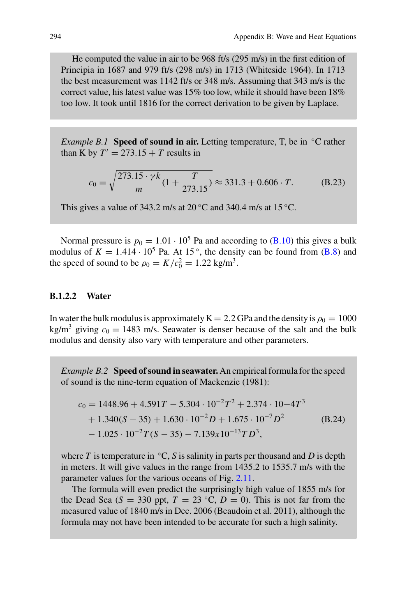<span id="page-21-0"></span>He computed the value in air to be 968 ft/s (295 m/s) in the first edition of Principia in 1687 and 979 ft/s (298 m/s) in 1713 (Whiteside 1964). In 1713 the best measurement was 1142 ft/s or 348 m/s. Assuming that 343 m/s is the correct value, his latest value was 15% too low, while it should have been 18% too low. It took until 1816 for the correct derivation to be given by Laplace.

*Example B.1* **Speed of sound in air.** Letting temperature, T, be in <sup>◦</sup>C rather than K by  $T' = 273.15 + T$  results in

$$
c_0 = \sqrt{\frac{273.15 \cdot \gamma k}{m} (1 + \frac{T}{273.15})} \approx 331.3 + 0.606 \cdot T.
$$
 (B.23)

This gives a value of 343.2 m/s at  $20^{\circ}$ C and 340.4 m/s at 15  $^{\circ}$ C.

Normal pressure is  $p_0 = 1.01 \cdot 10^5$  Pa and according to [\(B.10\)](#page-18-2) this gives a bulk modulus of  $K = 1.414 \cdot 10^5$  Pa. At 15<sup>°</sup>, the density can be found from [\(B.8\)](#page-18-0) and the speed of sound to be  $\rho_0 = K/c_0^2 = 1.22 \text{ kg/m}^3$ .

## **B.1.2.2 Water**

In water the bulk modulus is approximately  $K = 2.2$  GPa and the density is  $\rho_0 = 1000$ kg/m<sup>3</sup> giving  $c_0 = 1483$  m/s. Seawater is denser because of the salt and the bulk modulus and density also vary with temperature and other parameters.

*Example B.2* **Speed of sound in seawater.** An empirical formula for the speed of sound is the nine-term equation of Mackenzie (1981):

$$
c_0 = 1448.96 + 4.591T - 5.304 \cdot 10^{-2}T^2 + 2.374 \cdot 10 - 4T^3
$$
  
+ 1.340(S - 35) + 1.630 \cdot 10^{-2}D + 1.675 \cdot 10^{-7}D^2 (B.24)  
- 1.025 \cdot 10^{-2}T(S - 35) - 7.139x10^{-13}TD^3,

where  $T$  is temperature in  $\mathrm{C}$ ,  $S$  is salinity in parts per thousand and  $D$  is depth in meters. It will give values in the range from 1435.2 to 1535.7 m/s with the parameter values for the various oceans of Fig. 2.11.

The formula will even predict the surprisingly high value of 1855 m/s for the Dead Sea ( $S = 330$  ppt,  $T = 23$  °C,  $D = 0$ ). This is not far from the measured value of 1840 m/s in Dec. 2006 (Beaudoin et al. 2011), although the formula may not have been intended to be accurate for such a high salinity.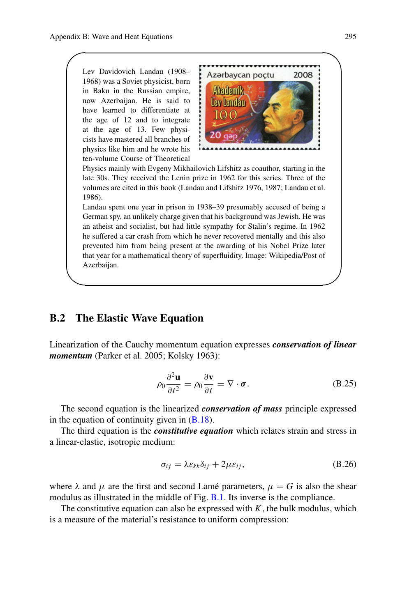<span id="page-22-2"></span> $\sqrt{2}$ 

Lev Davidovich Landau (1908– 1968) was a Soviet physicist, born in Baku in the Russian empire, now Azerbaijan. He is said to have learned to differentiate at the age of 12 and to integrate at the age of 13. Few physicists have mastered all branches of physics like him and he wrote his ten-volume Course of Theoretical



Physics mainly with Evgeny Mikhailovich Lifshitz as coauthor, starting in the late 30s. They received the Lenin prize in 1962 for this series. Three of the volumes are cited in this book (Landau and Lifshitz 1976, 1987; Landau et al. 1986).

Landau spent one year in prison in 1938–39 presumably accused of being a German spy, an unlikely charge given that his background was Jewish. He was an atheist and socialist, but had little sympathy for Stalin's regime. In 1962 he suffered a car crash from which he never recovered mentally and this also prevented him from being present at the awarding of his Nobel Prize later that year for a mathematical theory of superfluidity. Image: Wikipedia/Post of Azerbaijan.

# **B.2 The Elastic Wave Equation**

Linearization of the Cauchy momentum equation expresses *conservation of linear momentum* (Parker et al. 2005; Kolsky 1963):

<span id="page-22-1"></span>
$$
\rho_0 \frac{\partial^2 \mathbf{u}}{\partial t^2} = \rho_0 \frac{\partial \mathbf{v}}{\partial t} = \nabla \cdot \boldsymbol{\sigma}.
$$
 (B.25)

The second equation is the linearized *conservation of mass* principle expressed in the equation of continuity given in  $(B.18)$ .

The third equation is the *constitutive equation* which relates strain and stress in a linear-elastic, isotropic medium:

<span id="page-22-0"></span>
$$
\sigma_{ij} = \lambda \varepsilon_{kk} \delta_{ij} + 2\mu \varepsilon_{ij}, \tag{B.26}
$$

where  $\lambda$  and  $\mu$  are the first and second Lamé parameters,  $\mu = G$  is also the shear modulus as illustrated in the middle of Fig. [B.1.](#page-17-0) Its inverse is the compliance.

The constitutive equation can also be expressed with  $K$ , the bulk modulus, which is a measure of the material's resistance to uniform compression: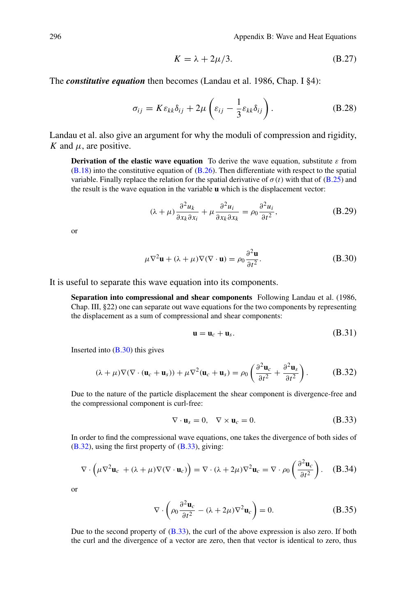<span id="page-23-3"></span>
$$
K = \lambda + 2\mu/3. \tag{B.27}
$$

The *constitutive equation* then becomes (Landau et al. 1986, Chap. I §4):

<span id="page-23-4"></span>
$$
\sigma_{ij} = K \varepsilon_{kk} \delta_{ij} + 2\mu \left( \varepsilon_{ij} - \frac{1}{3} \varepsilon_{kk} \delta_{ij} \right). \tag{B.28}
$$

Landau et al. also give an argument for why the moduli of compression and rigidity, *K* and  $\mu$ , are positive.

**Derivation of the elastic wave equation** To derive the wave equation, substitute  $\varepsilon$  from [\(B.18\)](#page-19-0) into the constitutive equation of [\(B.26\)](#page-22-0). Then differentiate with respect to the spatial variable. Finally replace the relation for the spatial derivative of  $\sigma(t)$  with that of [\(B.25\)](#page-22-1) and the result is the wave equation in the variable **u** which is the displacement vector:

$$
(\lambda + \mu) \frac{\partial^2 u_k}{\partial x_k \partial x_i} + \mu \frac{\partial^2 u_i}{\partial x_k \partial x_k} = \rho_0 \frac{\partial^2 u_i}{\partial t^2},
$$
 (B.29)

or

<span id="page-23-0"></span>
$$
\mu \nabla^2 \mathbf{u} + (\lambda + \mu) \nabla (\nabla \cdot \mathbf{u}) = \rho_0 \frac{\partial^2 \mathbf{u}}{\partial t^2}.
$$
 (B.30)

It is useful to separate this wave equation into its components.

**Separation into compressional and shear components** Following Landau et al. (1986, Chap. III, §22) one can separate out wave equations for the two components by representing the displacement as a sum of compressional and shear components:

<span id="page-23-1"></span>
$$
\mathbf{u} = \mathbf{u}_c + \mathbf{u}_s. \tag{B.31}
$$

Inserted into  $(B.30)$  this gives

$$
(\lambda + \mu)\nabla(\nabla \cdot (\mathbf{u}_c + \mathbf{u}_s)) + \mu \nabla^2 (\mathbf{u}_c + \mathbf{u}_s) = \rho_0 \left( \frac{\partial^2 \mathbf{u}_c}{\partial t^2} + \frac{\partial^2 \mathbf{u}_s}{\partial t^2} \right). \tag{B.32}
$$

Due to the nature of the particle displacement the shear component is divergence-free and the compressional component is curl-free:

<span id="page-23-2"></span>
$$
\nabla \cdot \mathbf{u}_s = 0, \quad \nabla \times \mathbf{u}_c = 0. \tag{B.33}
$$

In order to find the compressional wave equations, one takes the divergence of both sides of [\(B.32\)](#page-23-1), using the first property of [\(B.33\)](#page-23-2), giving:

$$
\nabla \cdot \left( \mu \nabla^2 \mathbf{u}_c + (\lambda + \mu) \nabla (\nabla \cdot \mathbf{u}_c) \right) = \nabla \cdot (\lambda + 2\mu) \nabla^2 \mathbf{u}_c = \nabla \cdot \rho_0 \left( \frac{\partial^2 \mathbf{u}_c}{\partial t^2} \right). \quad (B.34)
$$

or

$$
\nabla \cdot \left( \rho_0 \frac{\partial^2 \mathbf{u}_c}{\partial t^2} - (\lambda + 2\mu) \nabla^2 \mathbf{u}_c \right) = 0.
$$
 (B.35)

Due to the second property of [\(B.33\)](#page-23-2), the curl of the above expression is also zero. If both the curl and the divergence of a vector are zero, then that vector is identical to zero, thus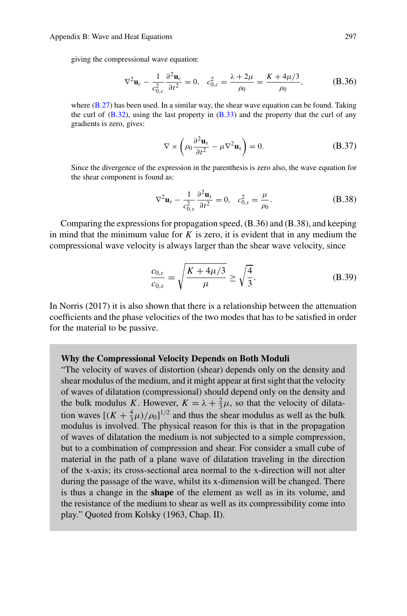giving the compressional wave equation:

$$
\nabla^2 \mathbf{u}_c - \frac{1}{c_{0,c}^2} \frac{\partial^2 \mathbf{u}_c}{\partial t^2} = 0, \quad c_{0,c}^2 = \frac{\lambda + 2\mu}{\rho_0} = \frac{K + 4\mu/3}{\rho_0}, \tag{B.36}
$$

where  $(B.27)$  has been used. In a similar way, the shear wave equation can be found. Taking the curl of  $(B.32)$ , using the last property in  $(B.33)$  and the property that the curl of any gradients is zero, gives:

$$
\nabla \times \left( \rho_0 \frac{\partial^2 \mathbf{u}_s}{\partial t^2} - \mu \nabla^2 \mathbf{u}_s \right) = 0.
$$
 (B.37)

Since the divergence of the expression in the parenthesis is zero also, the wave equation for the shear component is found as:

$$
\nabla^2 \mathbf{u}_s - \frac{1}{c_{0,s}^2} \frac{\partial^2 \mathbf{u}_s}{\partial t^2} = 0, \quad c_{0,s}^2 = \frac{\mu}{\rho_0}.
$$
 (B.38)

Comparing the expressions for propagation speed, (B.36) and (B.38), and keeping in mind that the minimum value for *K* is zero, it is evident that in any medium the compressional wave velocity is always larger than the shear wave velocity, since

$$
\frac{c_{0,c}}{c_{0,s}} = \sqrt{\frac{K + 4\mu/3}{\mu}} \ge \sqrt{\frac{4}{3}}.
$$
 (B.39)

In Norris (2017) it is also shown that there is a relationship between the attenuation coefficients and the phase velocities of the two modes that has to be satisfied in order for the material to be passive.

#### **Why the Compressional Velocity Depends on Both Moduli**

"The velocity of waves of distortion (shear) depends only on the density and shear modulus of the medium, and it might appear at first sight that the velocity of waves of dilatation (compressional) should depend only on the density and the bulk modulus *K*. However,  $K = \lambda + \frac{2}{3}\mu$ , so that the velocity of dilatation waves  $[(K + \frac{4}{3}\mu)/\rho_0]^{1/2}$  and thus the shear modulus as well as the bulk modulus is involved. The physical reason for this is that in the propagation of waves of dilatation the medium is not subjected to a simple compression, but to a combination of compression and shear. For consider a small cube of material in the path of a plane wave of dilatation traveling in the direction of the x-axis; its cross-sectional area normal to the x-direction will not alter during the passage of the wave, whilst its x-dimension will be changed. There is thus a change in the **shape** of the element as well as in its volume, and the resistance of the medium to shear as well as its compressibility come into play." Quoted from Kolsky (1963, Chap. II).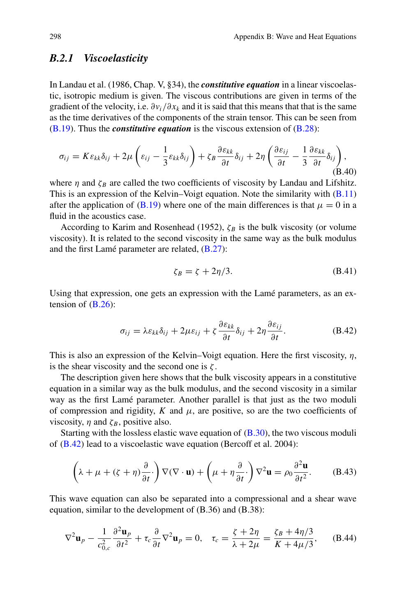# <span id="page-25-6"></span><span id="page-25-3"></span>*B.2.1 Viscoelasticity*

In Landau et al. (1986, Chap. V, §34), the *constitutive equation* in a linear viscoelastic, isotropic medium is given. The viscous contributions are given in terms of the gradient of the velocity, i.e.  $\partial v_i / \partial x_k$  and it is said that this means that that is the same as the time derivatives of the components of the strain tensor. This can be seen from [\(B.19\)](#page-19-1). Thus the *constitutive equation* is the viscous extension of [\(B.28\)](#page-23-4):

<span id="page-25-0"></span>
$$
\sigma_{ij} = K \varepsilon_{kk} \delta_{ij} + 2\mu \left( \varepsilon_{ij} - \frac{1}{3} \varepsilon_{kk} \delta_{ij} \right) + \zeta_B \frac{\partial \varepsilon_{kk}}{\partial t} \delta_{ij} + 2\eta \left( \frac{\partial \varepsilon_{ij}}{\partial t} - \frac{1}{3} \frac{\partial \varepsilon_{kk}}{\partial t} \delta_{ij} \right),
$$
(B.40)

where  $\eta$  and  $\zeta_B$  are called the two coefficients of viscosity by Landau and Lifshitz. This is an expression of the Kelvin–Voigt equation. Note the similarity with [\(B.11\)](#page-18-1) after the application of [\(B.19\)](#page-19-1) where one of the main differences is that  $\mu = 0$  in a fluid in the acoustics case.

According to Karim and Rosenhead (1952),  $\zeta_B$  is the bulk viscosity (or volume viscosity). It is related to the second viscosity in the same way as the bulk modulus and the first Lamé parameter are related, [\(B.27\)](#page-23-3):

<span id="page-25-4"></span>
$$
\zeta_B = \zeta + 2\eta/3. \tag{B.41}
$$

Using that expression, one gets an expression with the Lamé parameters, as an extension of  $(B.26)$ :

<span id="page-25-1"></span>
$$
\sigma_{ij} = \lambda \varepsilon_{kk} \delta_{ij} + 2\mu \varepsilon_{ij} + \zeta \frac{\partial \varepsilon_{kk}}{\partial t} \delta_{ij} + 2\eta \frac{\partial \varepsilon_{ij}}{\partial t}.
$$
 (B.42)

This is also an expression of the Kelvin–Voigt equation. Here the first viscosity,  $\eta$ , is the shear viscosity and the second one is  $\zeta$ .

The description given here shows that the bulk viscosity appears in a constitutive equation in a similar way as the bulk modulus, and the second viscosity in a similar way as the first Lamé parameter. Another parallel is that just as the two moduli of compression and rigidity,  $K$  and  $\mu$ , are positive, so are the two coefficients of viscosity,  $\eta$  and  $\zeta_B$ , positive also.

Starting with the lossless elastic wave equation of  $(B.30)$ , the two viscous moduli of [\(B.42\)](#page-25-1) lead to a viscoelastic wave equation (Bercoff et al. 2004):

<span id="page-25-5"></span>
$$
\left(\lambda + \mu + (\zeta + \eta) \frac{\partial}{\partial t}\right) \nabla (\nabla \cdot \mathbf{u}) + \left(\mu + \eta \frac{\partial}{\partial t}\right) \nabla^2 \mathbf{u} = \rho_0 \frac{\partial^2 \mathbf{u}}{\partial t^2}.
$$
 (B.43)

This wave equation can also be separated into a compressional and a shear wave equation, similar to the development of (B.36) and (B.38):

<span id="page-25-2"></span>
$$
\nabla^2 \mathbf{u}_p - \frac{1}{c_{0,c}^2} \frac{\partial^2 \mathbf{u}_p}{\partial t^2} + \tau_c \frac{\partial}{\partial t} \nabla^2 \mathbf{u}_p = 0, \quad \tau_c = \frac{\zeta + 2\eta}{\lambda + 2\mu} = \frac{\zeta_B + 4\eta/3}{K + 4\mu/3}, \quad (B.44)
$$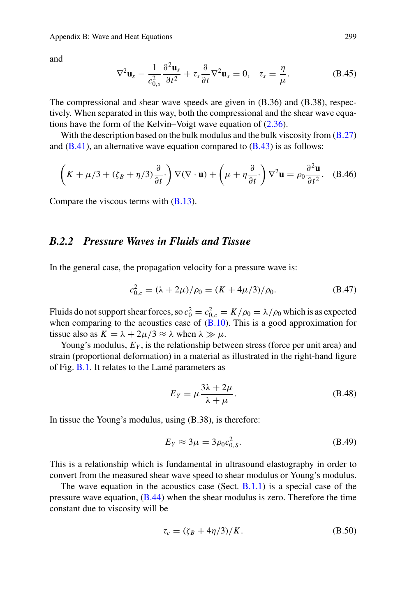<span id="page-26-3"></span>and

<span id="page-26-0"></span>
$$
\nabla^2 \mathbf{u}_s - \frac{1}{c_{0,s}^2} \frac{\partial^2 \mathbf{u}_s}{\partial t^2} + \tau_s \frac{\partial}{\partial t} \nabla^2 \mathbf{u}_s = 0, \quad \tau_s = \frac{\eta}{\mu}.
$$
 (B.45)

The compressional and shear wave speeds are given in (B.36) and (B.38), respectively. When separated in this way, both the compressional and the shear wave equations have the form of the Kelvin–Voigt wave equation of (2.36).

With the description based on the bulk modulus and the bulk viscosity from [\(B.27\)](#page-23-3) and  $(B.41)$ , an alternative wave equation compared to  $(B.43)$  is as follows:

$$
\left(K + \mu/3 + (\zeta_B + \eta/3)\frac{\partial}{\partial t}\right)\nabla(\nabla \cdot \mathbf{u}) + \left(\mu + \eta\frac{\partial}{\partial t}\right)\nabla^2 \mathbf{u} = \rho_0 \frac{\partial^2 \mathbf{u}}{\partial t^2}.
$$
 (B.46)

Compare the viscous terms with  $(B.13)$ .

# <span id="page-26-1"></span>*B.2.2 Pressure Waves in Fluids and Tissue*

In the general case, the propagation velocity for a pressure wave is:

$$
c_{0,c}^2 = (\lambda + 2\mu)/\rho_0 = (K + 4\mu/3)/\rho_0.
$$
 (B.47)

Fluids do not support shear forces, so  $c_0^2 = c_{0,c}^2 = K/\rho_0 = \lambda/\rho_0$  which is as expected when comparing to the acoustics case of  $(B.10)$ . This is a good approximation for tissue also as  $K = \lambda + 2\mu/3 \approx \lambda$  when  $\lambda \gg \mu$ .

Young's modulus,  $E<sub>Y</sub>$ , is the relationship between stress (force per unit area) and strain (proportional deformation) in a material as illustrated in the right-hand figure of Fig. [B.1.](#page-17-0) It relates to the Lamé parameters as

$$
E_Y = \mu \frac{3\lambda + 2\mu}{\lambda + \mu}.
$$
 (B.48)

In tissue the Young's modulus, using (B.38), is therefore:

<span id="page-26-2"></span>
$$
E_Y \approx 3\mu = 3\rho_0 c_{0,S}^2.
$$
 (B.49)

This is a relationship which is fundamental in ultrasound elastography in order to convert from the measured shear wave speed to shear modulus or Young's modulus.

The wave equation in the acoustics case (Sect.  $B(1.1)$ ) is a special case of the pressure wave equation,  $(B.44)$  when the shear modulus is zero. Therefore the time constant due to viscosity will be

$$
\tau_c = (\zeta_B + 4\eta/3)/K. \tag{B.50}
$$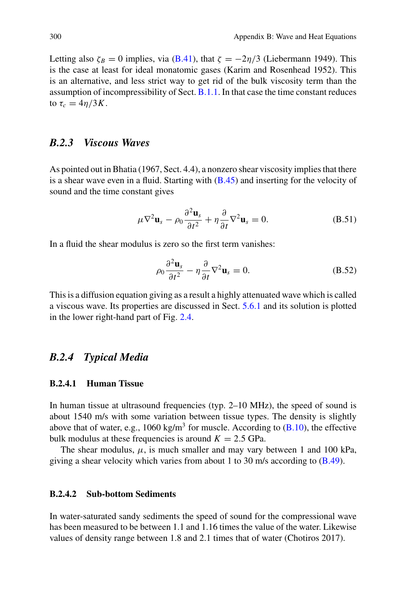<span id="page-27-0"></span>Letting also  $\zeta_B = 0$  implies, via [\(B.41\)](#page-25-4), that  $\zeta = -2\eta/3$  (Liebermann 1949). This is the case at least for ideal monatomic gases (Karim and Rosenhead 1952). This is an alternative, and less strict way to get rid of the bulk viscosity term than the assumption of incompressibility of Sect. [B.1.1.](#page-18-3) In that case the time constant reduces to  $\tau_c = 4\eta/3K$ .

# *B.2.3 Viscous Waves*

As pointed out in Bhatia (1967, Sect. 4.4), a nonzero shear viscosity implies that there is a shear wave even in a fluid. Starting with  $(B.45)$  and inserting for the velocity of sound and the time constant gives

$$
\mu \nabla^2 \mathbf{u}_s - \rho_0 \frac{\partial^2 \mathbf{u}_s}{\partial t^2} + \eta \frac{\partial}{\partial t} \nabla^2 \mathbf{u}_s = 0.
$$
 (B.51)

In a fluid the shear modulus is zero so the first term vanishes:

$$
\rho_0 \frac{\partial^2 \mathbf{u}_s}{\partial t^2} - \eta \frac{\partial}{\partial t} \nabla^2 \mathbf{u}_s = 0.
$$
 (B.52)

This is a diffusion equation giving as a result a highly attenuated wave which is called a viscous wave. Its properties are discussed in Sect. 5.6.1 and its solution is plotted in the lower right-hand part of Fig. 2.4.

# *B.2.4 Typical Media*

## **B.2.4.1 Human Tissue**

In human tissue at ultrasound frequencies (typ. 2–10 MHz), the speed of sound is about 1540 m/s with some variation between tissue types. The density is slightly above that of water, e.g.,  $1060 \text{ kg/m}^3$  for muscle. According to  $(B.10)$ , the effective bulk modulus at these frequencies is around  $K = 2.5$  GPa.

The shear modulus,  $\mu$ , is much smaller and may vary between 1 and 100 kPa, giving a shear velocity which varies from about 1 to 30 m/s according to [\(B.49\)](#page-26-2).

## **B.2.4.2 Sub-bottom Sediments**

In water-saturated sandy sediments the speed of sound for the compressional wave has been measured to be between 1.1 and 1.16 times the value of the water. Likewise values of density range between 1.8 and 2.1 times that of water (Chotiros 2017).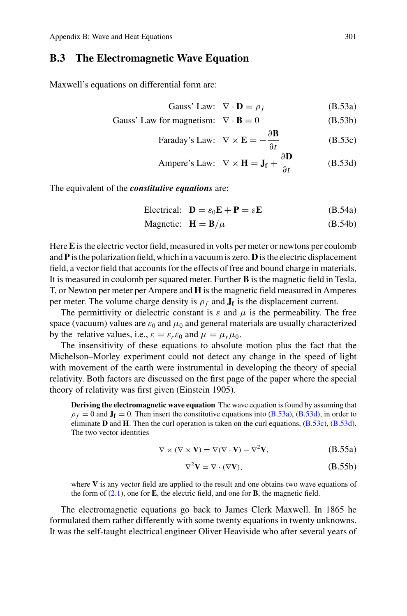## <span id="page-28-5"></span>**B.3 The Electromagnetic Wave Equation**

Maxwell's equations on differential form are:

<span id="page-28-3"></span><span id="page-28-2"></span><span id="page-28-0"></span>Gauss' Law: 
$$
\nabla \cdot \mathbf{D} = \rho_f
$$
 (B.53a)

Gauss' Law for magnetism: 
$$
\nabla \cdot \mathbf{B} = 0
$$
 (B.53b)

Faraday's Law: 
$$
\nabla \times \mathbf{E} = -\frac{\partial \mathbf{B}}{\partial t}
$$
 (B.53c)

<span id="page-28-4"></span><span id="page-28-1"></span>Ampere's Law: 
$$
\nabla \times \mathbf{H} = \mathbf{J_f} + \frac{\partial \mathbf{D}}{\partial t}
$$
 (B.53d)

The equivalent of the *constitutive equations* are:

$$
\text{Electrical:} \quad \mathbf{D} = \varepsilon_0 \mathbf{E} + \mathbf{P} = \varepsilon \mathbf{E} \tag{B.54a}
$$

$$
Magnetic: \quad \mathbf{H} = \mathbf{B}/\mu \tag{B.54b}
$$

Here**E**is the electric vector field, measured in volts per meter or newtons per coulomb and**P** is the polarization field, which in a vacuum is zero.**D** is the electric displacement field, a vector field that accounts for the effects of free and bound charge in materials. It is measured in coulomb per squared meter. Further **B** is the magnetic field in Tesla, T, or Newton per meter per Ampere and **H** is the magnetic field measured in Amperes per meter. The volume charge density is  $\rho_f$  and  $\mathbf{J_f}$  is the displacement current.

The permittivity or dielectric constant is  $\varepsilon$  and  $\mu$  is the permeability. The free space (vacuum) values are  $\varepsilon_0$  and  $\mu_0$  and general materials are usually characterized by the relative values, i.e.,  $\varepsilon = \varepsilon_r \varepsilon_0$  and  $\mu = \mu_r \mu_0$ .

The insensitivity of these equations to absolute motion plus the fact that the Michelson–Morley experiment could not detect any change in the speed of light with movement of the earth were instrumental in developing the theory of special relativity. Both factors are discussed on the first page of the paper where the special theory of relativity was first given (Einstein 1905).

**Deriving the electromagnetic wave equation** The wave equation is found by assuming that  $\rho_f = 0$  and  $\mathbf{J_f} = 0$ . Then insert the constitutive equations into [\(B.53a\)](#page-28-0), [\(B.53d\)](#page-28-1), in order to eliminate **D** and **H**. Then the curl operation is taken on the curl equations, [\(B.53c\)](#page-28-2), [\(B.53d\)](#page-28-1). The two vector identities

$$
\nabla \times (\nabla \times \mathbf{V}) = \nabla(\nabla \cdot \mathbf{V}) - \nabla^2 \mathbf{V},
$$
 (B.55a)

$$
\nabla^2 \mathbf{V} = \nabla \cdot (\nabla \mathbf{V}),\tag{B.55b}
$$

where **V** is any vector field are applied to the result and one obtains two wave equations of the form of (2.1), one for **E**, the electric field, and one for **B**, the magnetic field.

The electromagnetic equations go back to James Clerk Maxwell. In 1865 he formulated them rather differently with some twenty equations in twenty unknowns. It was the self-taught electrical engineer Oliver Heaviside who after several years of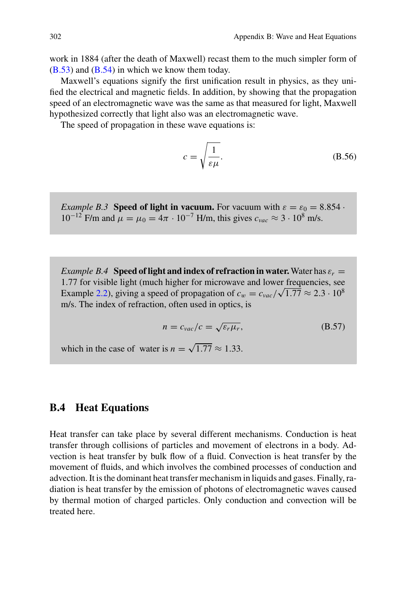<span id="page-29-0"></span>work in 1884 (after the death of Maxwell) recast them to the much simpler form of [\(B.53\)](#page-28-3) and [\(B.54\)](#page-28-4) in which we know them today.

Maxwell's equations signify the first unification result in physics, as they unified the electrical and magnetic fields. In addition, by showing that the propagation speed of an electromagnetic wave was the same as that measured for light, Maxwell hypothesized correctly that light also was an electromagnetic wave.

The speed of propagation in these wave equations is:

$$
c = \sqrt{\frac{1}{\varepsilon \mu}}.\tag{B.56}
$$

*Example B.3* **Speed of light in vacuum.** For vacuum with  $\varepsilon = \varepsilon_0 = 8.854$  $10^{-12}$  F/m and  $\mu = \mu_0 = 4\pi \cdot 10^{-7}$  H/m, this gives  $c_{\text{vac}} \approx 3 \cdot 10^8$  m/s.

*Example B.4* **Speed of light and index of refraction in water.** Water has  $\varepsilon_r =$ 1.77 for visible light (much higher for microwave and lower frequencies, see Example 2.2), giving a speed of propagation of  $c_w = c_{vac}/\sqrt{1.77} \approx 2.3 \cdot 10^8$ m/s. The index of refraction, often used in optics, is

$$
n = c_{vac}/c = \sqrt{\varepsilon_r \mu_r},
$$
 (B.57)

which in the case of water is  $n = \sqrt{1.77} \approx 1.33$ .

## **B.4 Heat Equations**

Heat transfer can take place by several different mechanisms. Conduction is heat transfer through collisions of particles and movement of electrons in a body. Advection is heat transfer by bulk flow of a fluid. Convection is heat transfer by the movement of fluids, and which involves the combined processes of conduction and advection. It is the dominant heat transfer mechanism in liquids and gases. Finally, radiation is heat transfer by the emission of photons of electromagnetic waves caused by thermal motion of charged particles. Only conduction and convection will be treated here.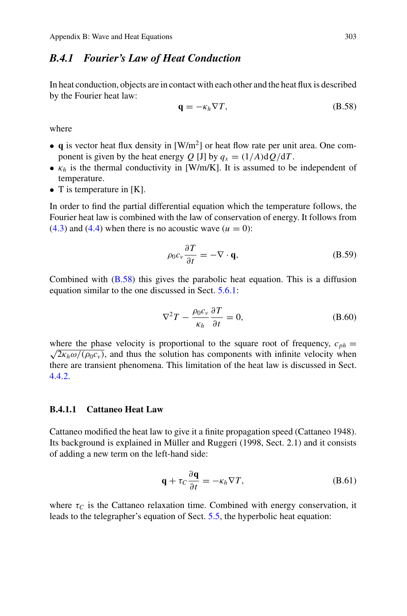# <span id="page-30-1"></span>*B.4.1 Fourier's Law of Heat Conduction*

In heat conduction, objects are in contact with each other and the heat flux is described by the Fourier heat law:

<span id="page-30-0"></span>
$$
\mathbf{q} = -\kappa_h \nabla T,\tag{B.58}
$$

where

- **q** is vector heat flux density in  $[W/m^2]$  or heat flow rate per unit area. One component is given by the heat energy *Q* [J] by  $q_x = (1/A)dQ/dT$ .
- $\kappa_h$  is the thermal conductivity in [W/m/K]. It is assumed to be independent of temperature.
- T is temperature in [K].

In order to find the partial differential equation which the temperature follows, the Fourier heat law is combined with the law of conservation of energy. It follows from  $(4.3)$  and  $(4.4)$  when there is no acoustic wave  $(u = 0)$ :

$$
\rho_0 c_v \frac{\partial T}{\partial t} = -\nabla \cdot \mathbf{q},\tag{B.59}
$$

Combined with  $(B.58)$  this gives the parabolic heat equation. This is a diffusion equation similar to the one discussed in Sect. 5.6.1:

$$
\nabla^2 T - \frac{\rho_0 c_v}{\kappa_h} \frac{\partial T}{\partial t} = 0,
$$
\n(B.60)

where the phase velocity is proportional to the square root of frequency,  $c_{ph} = \sqrt{2\kappa_h \omega/(\rho_0 c_v)}$ , and thus the solution has components with infinite velocity when there are transient phenomena. This limitation of the heat law is discussed in Sect. 4.4.2.

## **B.4.1.1 Cattaneo Heat Law**

Cattaneo modified the heat law to give it a finite propagation speed (Cattaneo 1948). Its background is explained in Müller and Ruggeri (1998, Sect. 2.1) and it consists of adding a new term on the left-hand side:

$$
\mathbf{q} + \tau_C \frac{\partial \mathbf{q}}{\partial t} = -\kappa_h \nabla T, \tag{B.61}
$$

where  $\tau_C$  is the Cattaneo relaxation time. Combined with energy conservation, it leads to the telegrapher's equation of Sect. 5.5, the hyperbolic heat equation: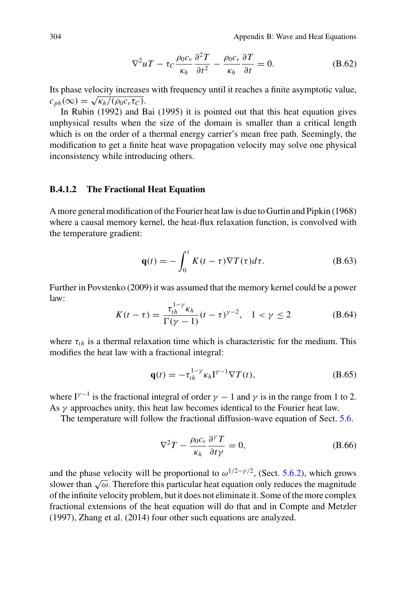$$
\nabla^2 u T - \tau_C \frac{\rho_0 c_v}{\kappa_h} \frac{\partial^2 T}{\partial t^2} - \frac{\rho_0 c_v}{\kappa_h} \frac{\partial T}{\partial t} = 0.
$$
 (B.62)

<span id="page-31-0"></span>Its phase velocity increases with frequency until it reaches a finite asymptotic value,  $c_{ph}(\infty) = \sqrt{\kappa_h/(\rho_0 c_v \tau_C)}.$ 

In Rubin (1992) and Bai (1995) it is pointed out that this heat equation gives unphysical results when the size of the domain is smaller than a critical length which is on the order of a thermal energy carrier's mean free path. Seemingly, the modification to get a finite heat wave propagation velocity may solve one physical inconsistency while introducing others.

#### **B.4.1.2 The Fractional Heat Equation**

A more general modification of the Fourier heat law is due to Gurtin and Pipkin (1968) where a causal memory kernel, the heat-flux relaxation function, is convolved with the temperature gradient:

$$
\mathbf{q}(t) = -\int_0^t K(t-\tau)\nabla T(\tau)d\tau.
$$
 (B.63)

Further in Povstenko (2009) it was assumed that the memory kernel could be a power law:

$$
K(t-\tau) = \frac{\tau_{th}^{1-\gamma} \kappa_h}{\Gamma(\gamma - 1)} (t-\tau)^{\gamma - 2}, \quad 1 < \gamma \le 2
$$
 (B.64)

where  $\tau_{th}$  is a thermal relaxation time which is characteristic for the medium. This modifies the heat law with a fractional integral:

$$
\mathbf{q}(t) = -\tau_{th}^{1-\gamma} \kappa_h \mathbf{I}^{\gamma-1} \nabla T(t), \tag{B.65}
$$

where I<sup> $\gamma$ -1</sup> is the fractional integral of order  $\gamma$  – 1 and  $\gamma$  is in the range from 1 to 2. As  $\gamma$  approaches unity, this heat law becomes identical to the Fourier heat law.

The temperature will follow the fractional diffusion-wave equation of Sect. 5.6.

$$
\nabla^2 T - \frac{\rho_0 c_v}{\kappa_h} \frac{\partial^\gamma T}{\partial t \gamma} = 0, \tag{B.66}
$$

and the phase velocity will be proportional to  $\omega^{1/2-\gamma/2}$ , (Sect. 5.6.2), which grows slower than  $\sqrt{\omega}$ . Therefore this particular heat equation only reduces the magnitude of the infinite velocity problem, but it does not eliminate it. Some of the more complex fractional extensions of the heat equation will do that and in Compte and Metzler (1997), Zhang et al. (2014) four other such equations are analyzed.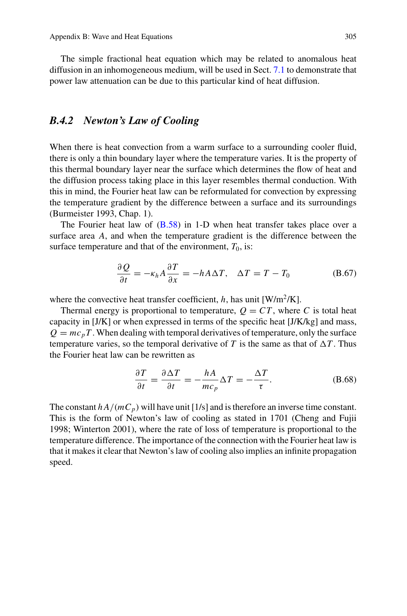<span id="page-32-0"></span>The simple fractional heat equation which may be related to anomalous heat diffusion in an inhomogeneous medium, will be used in Sect. 7.1 to demonstrate that power law attenuation can be due to this particular kind of heat diffusion.

# *B.4.2 Newton's Law of Cooling*

When there is heat convection from a warm surface to a surrounding cooler fluid, there is only a thin boundary layer where the temperature varies. It is the property of this thermal boundary layer near the surface which determines the flow of heat and the diffusion process taking place in this layer resembles thermal conduction. With this in mind, the Fourier heat law can be reformulated for convection by expressing the temperature gradient by the difference between a surface and its surroundings (Burmeister 1993, Chap. 1).

The Fourier heat law of [\(B.58\)](#page-30-0) in 1-D when heat transfer takes place over a surface area *A*, and when the temperature gradient is the difference between the surface temperature and that of the environment,  $T_0$ , is:

$$
\frac{\partial Q}{\partial t} = -\kappa_h A \frac{\partial T}{\partial x} = -h A \Delta T, \quad \Delta T = T - T_0 \tag{B.67}
$$

where the convective heat transfer coefficient,  $h$ , has unit  $[W/m^2/K]$ .

Thermal energy is proportional to temperature,  $Q = CT$ , where *C* is total heat capacity in [J/K] or when expressed in terms of the specific heat [J/K/kg] and mass,  $Q = mc_pT$ . When dealing with temporal derivatives of temperature, only the surface temperature varies, so the temporal derivative of *T* is the same as that of  $\Delta T$ . Thus the Fourier heat law can be rewritten as

$$
\frac{\partial T}{\partial t} = \frac{\partial \Delta T}{\partial t} = -\frac{hA}{mc_p} \Delta T = -\frac{\Delta T}{\tau}.
$$
 (B.68)

The constant  $h A/(mC_p)$  will have unit [1/s] and is therefore an inverse time constant. This is the form of Newton's law of cooling as stated in 1701 (Cheng and Fujii 1998; Winterton 2001), where the rate of loss of temperature is proportional to the temperature difference. The importance of the connection with the Fourier heat law is that it makes it clear that Newton's law of cooling also implies an infinite propagation speed.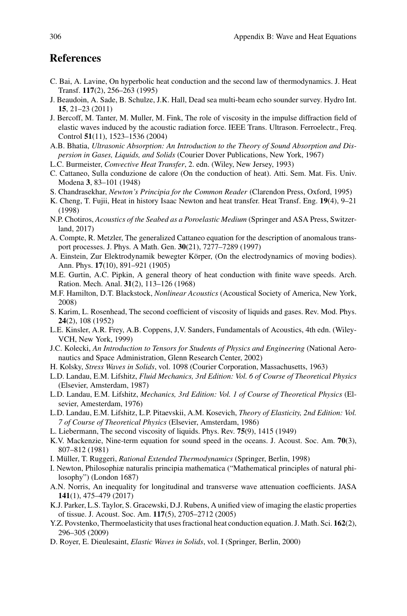# **References**

- C. Bai, A. Lavine, On hyperbolic heat conduction and the second law of thermodynamics. J. Heat Transf. **117**(2), 256–263 (1995)
- J. Beaudoin, A. Sade, B. Schulze, J.K. Hall, Dead sea multi-beam echo sounder survey. Hydro Int. **15**, 21–23 (2011)
- J. Bercoff, M. Tanter, M. Muller, M. Fink, The role of viscosity in the impulse diffraction field of elastic waves induced by the acoustic radiation force. IEEE Trans. Ultrason. Ferroelectr., Freq. Control **51**(11), 1523–1536 (2004)
- A.B. Bhatia, *Ultrasonic Absorption: An Introduction to the Theory of Sound Absorption and Dispersion in Gases, Liquids, and Solids* (Courier Dover Publications, New York, 1967)
- L.C. Burmeister, *Convective Heat Transfer*, 2. edn. (Wiley, New Jersey, 1993)
- C. Cattaneo, Sulla conduzione de calore (On the conduction of heat). Atti. Sem. Mat. Fis. Univ. Modena **3**, 83–101 (1948)
- S. Chandrasekhar, *Newton's Principia for the Common Reader* (Clarendon Press, Oxford, 1995)
- K. Cheng, T. Fujii, Heat in history Isaac Newton and heat transfer. Heat Transf. Eng. **19**(4), 9–21 (1998)
- N.P. Chotiros, *Acoustics of the Seabed as a Poroelastic Medium* (Springer and ASA Press, Switzerland, 2017)
- A. Compte, R. Metzler, The generalized Cattaneo equation for the description of anomalous transport processes. J. Phys. A Math. Gen. **30**(21), 7277–7289 (1997)
- A. Einstein, Zur Elektrodynamik bewegter Körper, (On the electrodynamics of moving bodies). Ann. Phys. **17**(10), 891–921 (1905)
- M.E. Gurtin, A.C. Pipkin, A general theory of heat conduction with finite wave speeds. Arch. Ration. Mech. Anal. **31**(2), 113–126 (1968)
- M.F. Hamilton, D.T. Blackstock, *Nonlinear Acoustics* (Acoustical Society of America, New York, 2008)
- S. Karim, L. Rosenhead, The second coefficient of viscosity of liquids and gases. Rev. Mod. Phys. **24**(2), 108 (1952)
- L.E. Kinsler, A.R. Frey, A.B. Coppens, J,V. Sanders, Fundamentals of Acoustics, 4th edn. (Wiley-VCH, New York, 1999)
- J.C. Kolecki, *An Introduction to Tensors for Students of Physics and Engineering* (National Aeronautics and Space Administration, Glenn Research Center, 2002)
- H. Kolsky, *Stress Waves in Solids*, vol. 1098 (Courier Corporation, Massachusetts, 1963)
- L.D. Landau, E.M. Lifshitz, *Fluid Mechanics, 3rd Edition: Vol. 6 of Course of Theoretical Physics* (Elsevier, Amsterdam, 1987)
- L.D. Landau, E.M. Lifshitz, *Mechanics, 3rd Edition: Vol. 1 of Course of Theoretical Physics* (Elsevier, Amesterdam, 1976)
- L.D. Landau, E.M. Lifshitz, L.P. Pitaevskii, A.M. Kosevich, *Theory of Elasticity, 2nd Edition: Vol. 7 of Course of Theoretical Physics* (Elsevier, Amsterdam, 1986)
- L. Liebermann, The second viscosity of liquids. Phys. Rev. **75**(9), 1415 (1949)
- K.V. Mackenzie, Nine-term equation for sound speed in the oceans. J. Acoust. Soc. Am. **70**(3), 807–812 (1981)
- I. Müller, T. Ruggeri, *Rational Extended Thermodynamics* (Springer, Berlin, 1998)
- I. Newton, Philosophiæ naturalis principia mathematica ("Mathematical principles of natural philosophy") (London 1687)
- A.N. Norris, An inequality for longitudinal and transverse wave attenuation coefficients. JASA **141**(1), 475–479 (2017)
- K.J. Parker, L.S. Taylor, S. Gracewski, D.J. Rubens, A unified view of imaging the elastic properties of tissue. J. Acoust. Soc. Am. **117**(5), 2705–2712 (2005)
- Y.Z. Povstenko, Thermoelasticity that uses fractional heat conduction equation. J. Math. Sci. **162**(2), 296–305 (2009)
- D. Royer, E. Dieulesaint, *Elastic Waves in Solids*, vol. I (Springer, Berlin, 2000)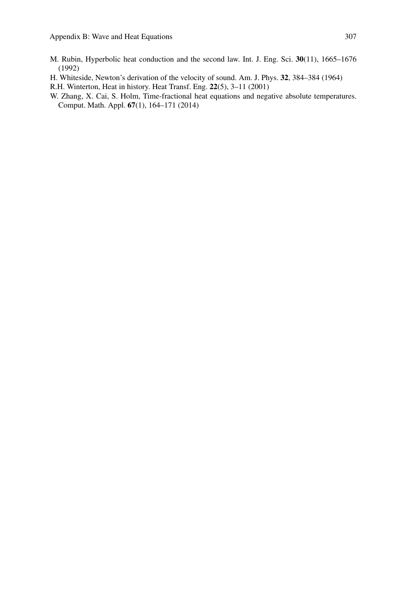- M. Rubin, Hyperbolic heat conduction and the second law. Int. J. Eng. Sci. **30**(11), 1665–1676 (1992)
- H. Whiteside, Newton's derivation of the velocity of sound. Am. J. Phys. **32**, 384–384 (1964)
- R.H. Winterton, Heat in history. Heat Transf. Eng. **22**(5), 3–11 (2001)
- W. Zhang, X. Cai, S. Holm, Time-fractional heat equations and negative absolute temperatures. Comput. Math. Appl. **67**(1), 164–171 (2014)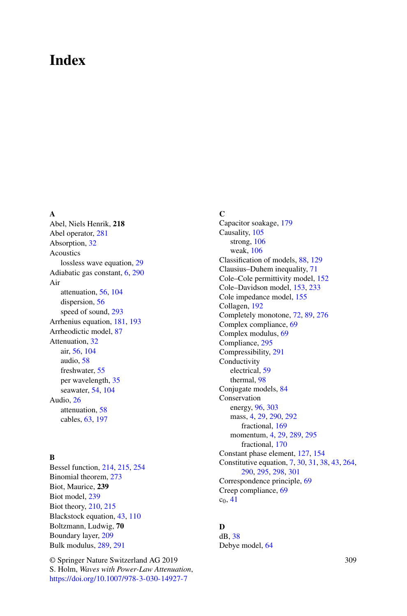# **Index**

### **A**

Abel, Niels Henrik, **218** Abel operator, [281](#page-8-4) Absorption, 32 Acoustics lossless wave equation, 29 Adiabatic gas constant, 6, [290](#page-17-3) Air attenuation, 56, 104 dispersion, 56 speed of sound, [293](#page-20-2) Arrhenius equation, 181, 193 Arrheodictic model, 87 Attenuation, 32 air, 56, 104 audio, 58 freshwater, 55 per wavelength, 35 seawater, 54, 104 Audio, 26 attenuation, 58 cables, 63, 197

## **B**

Bessel function, 214, 215, 254 Binomial theorem, [273](#page-0-0) Biot, Maurice, **239** Biot model, 239 Biot theory, 210, 215 Blackstock equation, 43, 110 Boltzmann, Ludwig, **70** Boundary layer, 209 Bulk modulus, [289,](#page-16-2) [291](#page-18-4)

© Springer Nature Switzerland AG 2019 S. Holm, *Waves with Power-Law Attenuation*, <https://doi.org/10.1007/978-3-030-14927-7>

**C**

Capacitor soakage, 179 Causality, 105 strong, 106 weak, 106 Classification of models, 88, 129 Clausius–Duhem inequality, 71 Cole–Cole permittivity model, 152 Cole–Davidson model, 153, 233 Cole impedance model, 155 Collagen, 192 Completely monotone, 72, 89, [276](#page-3-2) Complex compliance, 69 Complex modulus, 69 Compliance, [295](#page-22-2) Compressibility, [291](#page-18-4) **Conductivity** electrical, 59 thermal, 98 Conjugate models, 84 Conservation energy, 96, [303](#page-30-1) mass, 4, 29, [290,](#page-17-3) [292](#page-19-3) fractional, 169 momentum, 4, 29, [289,](#page-16-2) [295](#page-22-2) fractional, 170 Constant phase element, 127, 154 Constitutive equation, 7, 30, 31, 38, 43, 264, [290,](#page-17-3) [295,](#page-22-2) [298,](#page-25-6) [301](#page-28-5) Correspondence principle, 69 Creep compliance, 69  $c_0$ , 41

## **D**

dB, 38 Debye model, 64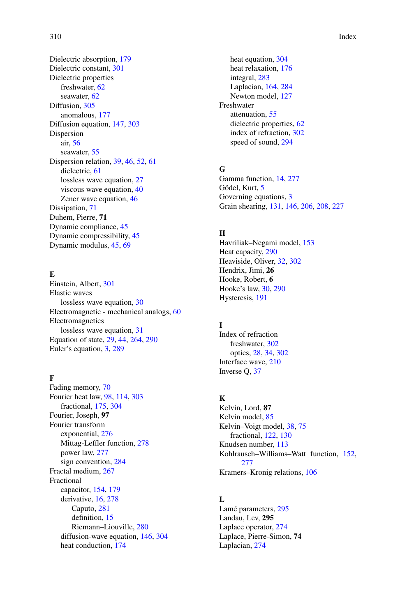Dielectric absorption, 179 Dielectric constant, [301](#page-28-5) Dielectric properties freshwater, 62 seawater, 62 Diffusion, [305](#page-32-0) anomalous, 177 Diffusion equation, 147, [303](#page-30-1) Dispersion air, 56 seawater, 55 Dispersion relation, 39, 46, 52, 61 dielectric, 61 lossless wave equation, 27 viscous wave equation, 40 Zener wave equation, 46 Dissipation, 71 Duhem, Pierre, **71** Dynamic compliance, 45 Dynamic compressibility, 45 Dynamic modulus, 45, 69

## **E**

Einstein, Albert, [301](#page-28-5) Elastic waves lossless wave equation, 30 Electromagnetic - mechanical analogs, 60 Electromagnetics lossless wave equation, 31 Equation of state, 29, 44, 264, [290](#page-17-3) Euler's equation, 3, [289](#page-16-2)

### **F**

Fading memory, 70 Fourier heat law, 98, 114, [303](#page-30-1) fractional, 175, [304](#page-31-0) Fourier, Joseph, **97** Fourier transform exponential, [276](#page-3-2) Mittag-Leffler function, [278](#page-5-1) power law, [277](#page-4-2) sign convention, [284](#page-11-0) Fractal medium, 267 Fractional capacitor, 154, 179 derivative, 16, [278](#page-5-1) Caputo, [281](#page-8-4) definition, 15 Riemann–Liouville, [280](#page-7-1) diffusion-wave equation, 146, [304](#page-31-0) heat conduction, 174

heat equation, [304](#page-31-0) heat relaxation, 176 integral, [283](#page-10-1) Laplacian, 164, [284](#page-11-0) Newton model, 127 Freshwater attenuation, 55 dielectric properties, 62 index of refraction, [302](#page-29-0) speed of sound, [294](#page-21-0)

## **G**

Gamma function, 14, [277](#page-4-2) Gödel, Kurt, 5 Governing equations, 3 Grain shearing, 131, 146, 206, 208, 227

#### **H**

Havriliak–Negami model, 153 Heat capacity, [290](#page-17-3) Heaviside, Oliver, 32, [302](#page-29-0) Hendrix, Jimi, **26** Hooke, Robert, **6** Hooke's law, 30, [290](#page-17-3) Hysteresis, 191

## **I**

Index of refraction freshwater, [302](#page-29-0) optics, 28, 34, [302](#page-29-0) Interface wave, 210 Inverse Q, 37

## **K**

Kelvin, Lord, **87** Kelvin model, 85 Kelvin–Voigt model, 38, 75 fractional, 122, 130 Knudsen number, 113 Kohlrausch–Williams–Watt function, 152, [277](#page-4-2) Kramers–Kronig relations, 106

## **L**

Lamé parameters, [295](#page-22-2) Landau, Lev, **295** Laplace operator, [274](#page-1-0) Laplace, Pierre-Simon, **74** Laplacian, [274](#page-1-0)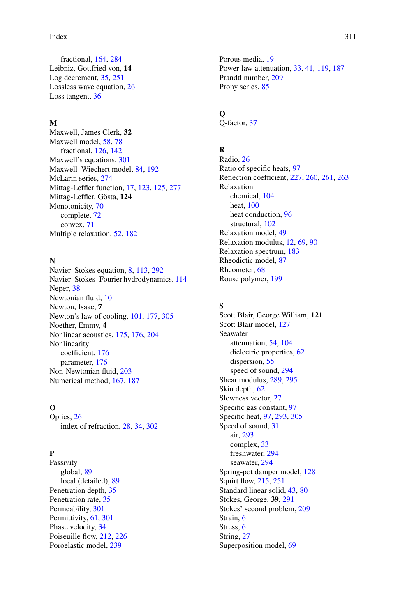Index 311

fractional, 164, [284](#page-11-0) Leibniz, Gottfried von, **14** Log decrement, 35, 251 Lossless wave equation, 26 Loss tangent, 36

#### **M**

Maxwell, James Clerk, **32** Maxwell model, 58, 78 fractional, 126, 142 Maxwell's equations, [301](#page-28-5) Maxwell–Wiechert model, 84, 192 McLarin series, [274](#page-1-0) Mittag-Leffler function, 17, 123, 125, [277](#page-4-2) Mittag-Leffler, Gösta, **124** Monotonicity, 70 complete, 72 convex, 71 Multiple relaxation, 52, 182

## **N**

Navier–Stokes equation, 8, 113, [292](#page-19-3) Navier–Stokes–Fourier hydrodynamics, 114 Neper, 38 Newtonian fluid, 10 Newton, Isaac, **7** Newton's law of cooling, 101, 177, [305](#page-32-0) Noether, Emmy, **4** Nonlinear acoustics, 175, 176, 204 Nonlinearity coefficient, 176 parameter, 176 Non-Newtonian fluid, 203 Numerical method, 167, 187

## **O**

Optics, 26 index of refraction, 28, 34, [302](#page-29-0)

## **P**

Passivity global, 89 local (detailed), 89 Penetration depth, 35 Penetration rate, 35 Permeability, [301](#page-28-5) Permittivity, 61, [301](#page-28-5) Phase velocity, 34 Poiseuille flow, 212, 226 Poroelastic model, 239

Porous media, 19 Power-law attenuation, 33, 41, 119, 187 Prandtl number, 209 Prony series, 85

## **Q**

Q-factor, 37

# **R**

Radio, 26 Ratio of specific heats, 97 Reflection coefficient, 227, 260, 261, 263 Relaxation chemical, 104 heat, 100 heat conduction, 96 structural, 102 Relaxation model, 49 Relaxation modulus, 12, 69, 90 Relaxation spectrum, 183 Rheodictic model, 87 Rheometer, 68 Rouse polymer, 199

## **S**

Scott Blair, George William, **121** Scott Blair model, 127 Seawater attenuation, 54, 104 dielectric properties, 62 dispersion, 55 speed of sound, [294](#page-21-0) Shear modulus, [289,](#page-16-2) [295](#page-22-2) Skin depth, 62 Slowness vector, 27 Specific gas constant, 97 Specific heat, 97, [293,](#page-20-2) [305](#page-32-0) Speed of sound, 31 air, [293](#page-20-2) complex, 33 freshwater, [294](#page-21-0) seawater, [294](#page-21-0) Spring-pot damper model, 128 Squirt flow, 215, 251 Standard linear solid, 43, 80 Stokes, George, **39**, [291](#page-18-4) Stokes' second problem, 209 Strain, 6 Stress, 6 String, 27 Superposition model, 69